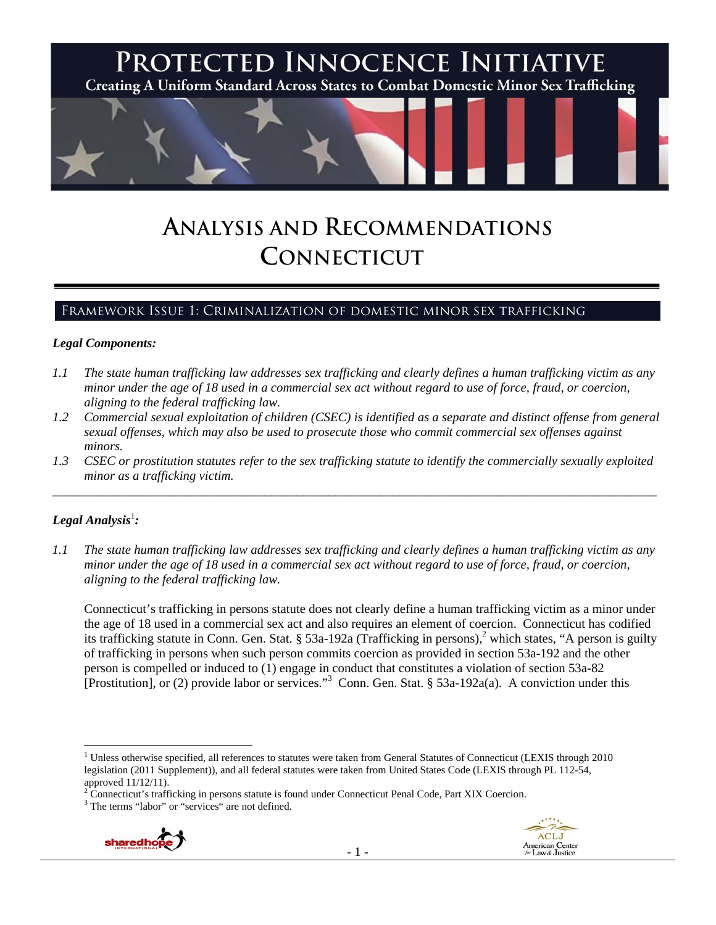

# **ANALYSIS AND RECOMMENDATIONS CONNECTICUT**

# Framework Issue 1: Criminalization of domestic minor sex trafficking

#### *Legal Components:*

- *1.1 The state human trafficking law addresses sex trafficking and clearly defines a human trafficking victim as any minor under the age of 18 used in a commercial sex act without regard to use of force, fraud, or coercion, aligning to the federal trafficking law.*
- *1.2 Commercial sexual exploitation of children (CSEC) is identified as a separate and distinct offense from general sexual offenses, which may also be used to prosecute those who commit commercial sex offenses against minors.*
- *1.3 CSEC or prostitution statutes refer to the sex trafficking statute to identify the commercially sexually exploited minor as a trafficking victim.*  \_\_\_\_\_\_\_\_\_\_\_\_\_\_\_\_\_\_\_\_\_\_\_\_\_\_\_\_\_\_\_\_\_\_\_\_\_\_\_\_\_\_\_\_\_\_\_\_\_\_\_\_\_\_\_\_\_\_\_\_\_\_\_\_\_\_\_\_\_\_\_\_\_\_\_\_\_\_\_\_\_\_\_\_\_\_\_\_\_\_\_\_\_\_

## $\bm{\mathit{Legal\, Analysis}^{\text{!}}:}$

*1.1 The state human trafficking law addresses sex trafficking and clearly defines a human trafficking victim as any minor under the age of 18 used in a commercial sex act without regard to use of force, fraud, or coercion, aligning to the federal trafficking law.* 

Connecticut's trafficking in persons statute does not clearly define a human trafficking victim as a minor under the age of 18 used in a commercial sex act and also requires an element of coercion. Connecticut has codified its trafficking statute in Conn. Gen. Stat. § 53a-192a (Trafficking in persons),<sup>2</sup> which states, "A person is guilty of trafficking in persons when such person commits coercion as provided in section 53a-192 and the other person is compelled or induced to (1) engage in conduct that constitutes a violation of section 53a-82 [Prostitution], or (2) provide labor or services."<sup>3</sup> Conn. Gen. Stat. § 53a-192a(a). A conviction under this

<sup>&</sup>lt;sup>3</sup> The terms "labor" or "services" are not defined.





 $\overline{a}$ <sup>1</sup> Unless otherwise specified, all references to statutes were taken from General Statutes of Connecticut (LEXIS through 2010 legislation (2011 Supplement)), and all federal statutes were taken from United States Code (LEXIS through PL 112-54, approved  $11/12/11$ ).

Connecticut's trafficking in persons statute is found under Connecticut Penal Code, Part XIX Coercion. 3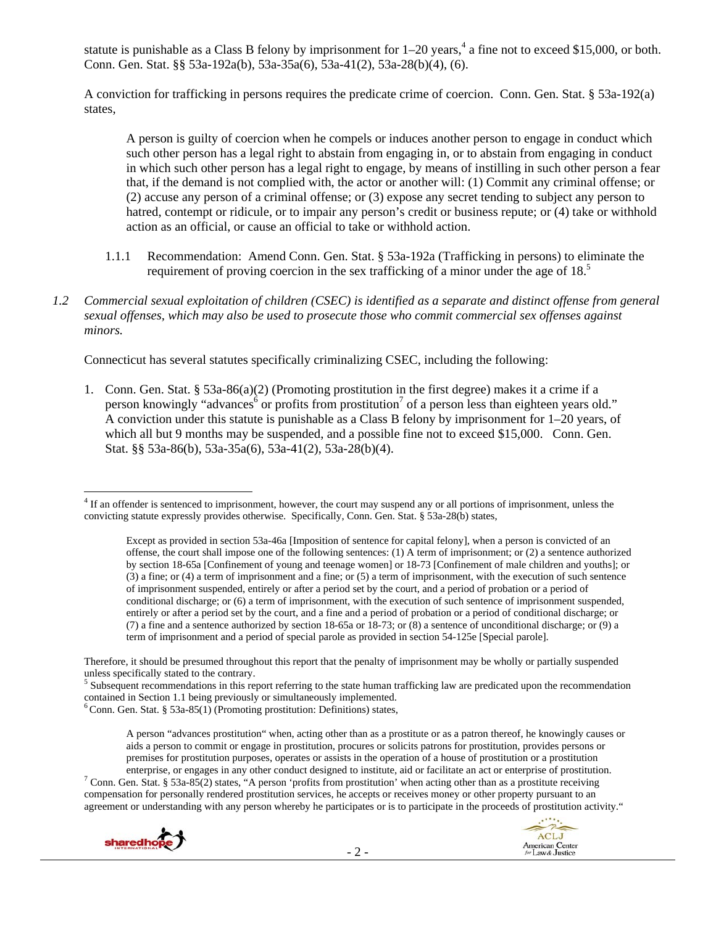statute is punishable as a Class B felony by imprisonment for  $1-20$  years,<sup>4</sup> a fine not to exceed \$15,000, or both. Conn. Gen. Stat. §§ 53a-192a(b), 53a-35a(6), 53a-41(2), 53a-28(b)(4), (6).

A conviction for trafficking in persons requires the predicate crime of coercion. Conn. Gen. Stat. § 53a-192(a) states,

A person is guilty of coercion when he compels or induces another person to engage in conduct which such other person has a legal right to abstain from engaging in, or to abstain from engaging in conduct in which such other person has a legal right to engage, by means of instilling in such other person a fear that, if the demand is not complied with, the actor or another will: (1) Commit any criminal offense; or (2) accuse any person of a criminal offense; or (3) expose any secret tending to subject any person to hatred, contempt or ridicule, or to impair any person's credit or business repute; or (4) take or withhold action as an official, or cause an official to take or withhold action.

- 1.1.1 Recommendation: Amend Conn. Gen. Stat. § 53a-192a (Trafficking in persons) to eliminate the requirement of proving coercion in the sex trafficking of a minor under the age of  $18<sup>5</sup>$
- *1.2 Commercial sexual exploitation of children (CSEC) is identified as a separate and distinct offense from general sexual offenses, which may also be used to prosecute those who commit commercial sex offenses against minors.*

Connecticut has several statutes specifically criminalizing CSEC, including the following:

1. Conn. Gen. Stat. § 53a-86(a)(2) (Promoting prostitution in the first degree) makes it a crime if a person knowingly "advances<sup>6</sup> or profits from prostitution<sup>7</sup> of a person less than eighteen years old." A conviction under this statute is punishable as a Class B felony by imprisonment for  $1-20$  years, of which all but 9 months may be suspended, and a possible fine not to exceed \$15,000. Conn. Gen. Stat. §§ 53a-86(b), 53a-35a(6), 53a-41(2), 53a-28(b)(4).

<sup>&</sup>lt;sup>7</sup> Conn. Gen. Stat. § 53a-85(2) states, "A person 'profits from prostitution' when acting other than as a prostitute receiving compensation for personally rendered prostitution services, he accepts or receives money or other property pursuant to an agreement or understanding with any person whereby he participates or is to participate in the proceeds of prostitution activity."



<sup>&</sup>lt;sup>4</sup> If an offender is sentenced to imprisonment, however, the court may suspend any or all portions of imprisonment, unless the convicting statute expressly provides otherwise. Specifically, Conn. Gen. Stat. § 53a-28(b) states,

Except as provided in section 53a-46a [Imposition of sentence for capital felony], when a person is convicted of an offense, the court shall impose one of the following sentences: (1) A term of imprisonment; or (2) a sentence authorized by section 18-65a [Confinement of young and teenage women] or 18-73 [Confinement of male children and youths]; or (3) a fine; or (4) a term of imprisonment and a fine; or (5) a term of imprisonment, with the execution of such sentence of imprisonment suspended, entirely or after a period set by the court, and a period of probation or a period of conditional discharge; or (6) a term of imprisonment, with the execution of such sentence of imprisonment suspended, entirely or after a period set by the court, and a fine and a period of probation or a period of conditional discharge; or (7) a fine and a sentence authorized by section 18-65a or 18-73; or (8) a sentence of unconditional discharge; or (9) a term of imprisonment and a period of special parole as provided in section 54-125e [Special parole].

Therefore, it should be presumed throughout this report that the penalty of imprisonment may be wholly or partially suspended unless specifically stated to the contrary.

 $<sup>5</sup>$  Subsequent recommendations in this report referring to the state human trafficking law are predicated upon the recommendation contained in Section 1.1 being previously or simultaneously implemented.</sup>

 $6$  Conn. Gen. Stat. § 53a-85(1) (Promoting prostitution: Definitions) states,

A person "advances prostitution" when, acting other than as a prostitute or as a patron thereof, he knowingly causes or aids a person to commit or engage in prostitution, procures or solicits patrons for prostitution, provides persons or premises for prostitution purposes, operates or assists in the operation of a house of prostitution or a prostitution enterprise, or engages in any other conduct designed to institute, aid or facilitate an act or enterprise of prostitution. 7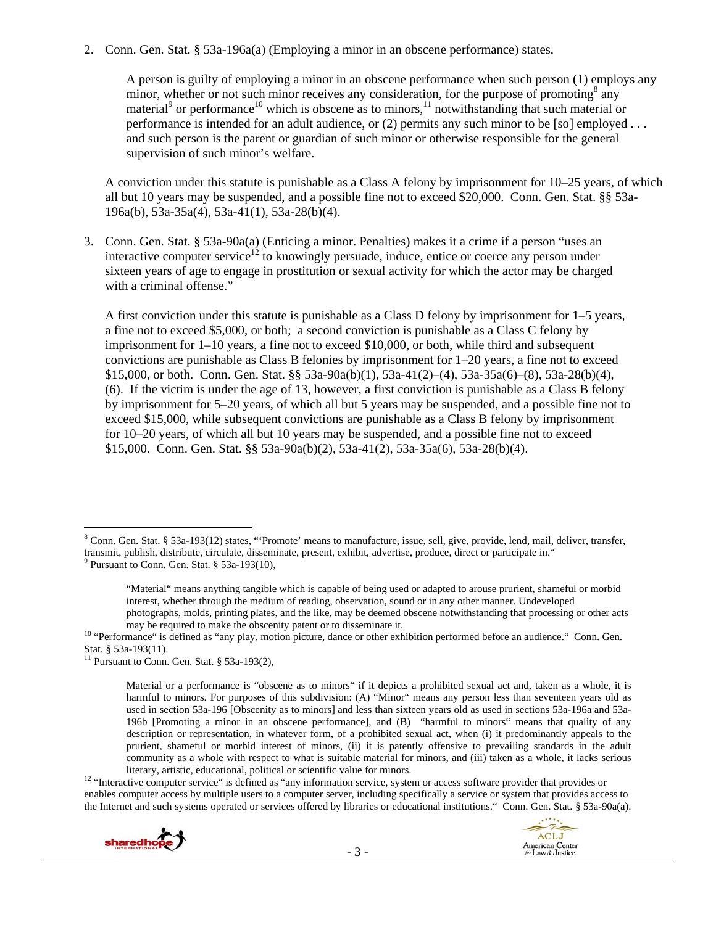2. Conn. Gen. Stat. § 53a-196a(a) (Employing a minor in an obscene performance) states,

A person is guilty of employing a minor in an obscene performance when such person (1) employs any minor, whether or not such minor receives any consideration, for the purpose of promoting<sup>8</sup> any material<sup>9</sup> or performance<sup>10</sup> which is obscene as to minors,<sup>11</sup> notwithstanding that such material or performance is intended for an adult audience, or (2) permits any such minor to be [so] employed ... and such person is the parent or guardian of such minor or otherwise responsible for the general supervision of such minor's welfare.

A conviction under this statute is punishable as a Class A felony by imprisonment for 10–25 years, of which all but 10 years may be suspended, and a possible fine not to exceed \$20,000. Conn. Gen. Stat. §§ 53a-196a(b), 53a-35a(4), 53a-41(1), 53a-28(b)(4).

3. Conn. Gen. Stat. § 53a-90a(a) (Enticing a minor. Penalties) makes it a crime if a person "uses an interactive computer service<sup>12</sup> to knowingly persuade, induce, entice or coerce any person under sixteen years of age to engage in prostitution or sexual activity for which the actor may be charged with a criminal offense."

A first conviction under this statute is punishable as a Class D felony by imprisonment for 1–5 years, a fine not to exceed \$5,000, or both; a second conviction is punishable as a Class C felony by imprisonment for  $1-10$  years, a fine not to exceed \$10,000, or both, while third and subsequent convictions are punishable as Class B felonies by imprisonment for 1–20 years, a fine not to exceed \$15,000, or both. Conn. Gen. Stat. §§ 53a-90a(b)(1), 53a-41(2)–(4), 53a-35a(6)–(8), 53a-28(b)(4), (6). If the victim is under the age of 13, however, a first conviction is punishable as a Class B felony by imprisonment for 5–20 years, of which all but 5 years may be suspended, and a possible fine not to exceed \$15,000, while subsequent convictions are punishable as a Class B felony by imprisonment for 10–20 years, of which all but 10 years may be suspended, and a possible fine not to exceed \$15,000. Conn. Gen. Stat. §§ 53a-90a(b)(2), 53a-41(2), 53a-35a(6), 53a-28(b)(4).

literary, artistic, educational, political or scientific value for minors.<br><sup>12</sup> "Interactive computer service" is defined as "any information service, system or access software provider that provides or enables computer access by multiple users to a computer server, including specifically a service or system that provides access to the Internet and such systems operated or services offered by libraries or educational institutions." Conn. Gen. Stat. § 53a-90a(a).





<sup>&</sup>lt;sup>8</sup> Conn. Gen. Stat. § 53a-193(12) states, "'Promote' means to manufacture, issue, sell, give, provide, lend, mail, deliver, transfer, transmit, publish, distribute, circulate, disseminate, present, exhibit, advertise, produce, direct or participate in." <sup>9</sup> Pursuant to Conn. Gen. Stat. § 53a-193(10),

<sup>&</sup>quot;Material" means anything tangible which is capable of being used or adapted to arouse prurient, shameful or morbid interest, whether through the medium of reading, observation, sound or in any other manner. Undeveloped photographs, molds, printing plates, and the like, may be deemed obscene notwithstanding that processing or other acts

may be required to make the obscenity patent or to disseminate it.<br><sup>10</sup> "Performance" is defined as "any play, motion picture, dance or other exhibition performed before an audience." Conn. Gen. Stat. § 53a-193(11).

<sup>&</sup>lt;sup>11</sup> Pursuant to Conn. Gen. Stat. § 53a-193 $(2)$ ,

Material or a performance is "obscene as to minors" if it depicts a prohibited sexual act and, taken as a whole, it is harmful to minors. For purposes of this subdivision: (A) "Minor" means any person less than seventeen years old as used in section 53a-196 [Obscenity as to minors] and less than sixteen years old as used in sections 53a-196a and 53a-196b [Promoting a minor in an obscene performance], and (B) "harmful to minors" means that quality of any description or representation, in whatever form, of a prohibited sexual act, when (i) it predominantly appeals to the prurient, shameful or morbid interest of minors, (ii) it is patently offensive to prevailing standards in the adult community as a whole with respect to what is suitable material for minors, and (iii) taken as a whole, it lacks serious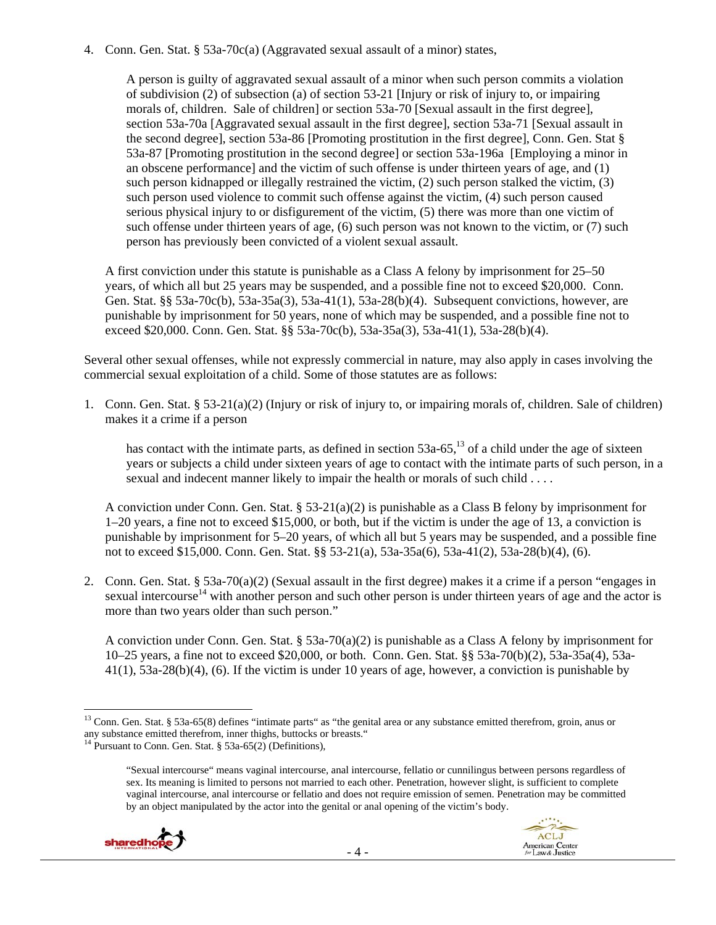4. Conn. Gen. Stat. § 53a-70c(a) (Aggravated sexual assault of a minor) states,

A person is guilty of aggravated sexual assault of a minor when such person commits a violation of subdivision (2) of subsection (a) of section 53-21 [Injury or risk of injury to, or impairing morals of, children. Sale of children] or section 53a-70 [Sexual assault in the first degree], section 53a-70a [Aggravated sexual assault in the first degree], section 53a-71 [Sexual assault in the second degree], section 53a-86 [Promoting prostitution in the first degree], Conn. Gen. Stat § 53a-87 [Promoting prostitution in the second degree] or section 53a-196a [Employing a minor in an obscene performance] and the victim of such offense is under thirteen years of age, and (1) such person kidnapped or illegally restrained the victim, (2) such person stalked the victim, (3) such person used violence to commit such offense against the victim, (4) such person caused serious physical injury to or disfigurement of the victim, (5) there was more than one victim of such offense under thirteen years of age, (6) such person was not known to the victim, or (7) such person has previously been convicted of a violent sexual assault.

A first conviction under this statute is punishable as a Class A felony by imprisonment for 25–50 years, of which all but 25 years may be suspended, and a possible fine not to exceed \$20,000. Conn. Gen. Stat. §§ 53a-70c(b), 53a-35a(3), 53a-41(1), 53a-28(b)(4). Subsequent convictions, however, are punishable by imprisonment for 50 years, none of which may be suspended, and a possible fine not to exceed \$20,000. Conn. Gen. Stat. §§ 53a-70c(b), 53a-35a(3), 53a-41(1), 53a-28(b)(4).

Several other sexual offenses, while not expressly commercial in nature, may also apply in cases involving the commercial sexual exploitation of a child. Some of those statutes are as follows:

1. Conn. Gen. Stat. § 53-21(a)(2) (Injury or risk of injury to, or impairing morals of, children. Sale of children) makes it a crime if a person

has contact with the intimate parts, as defined in section  $53a-65$ ,<sup>13</sup> of a child under the age of sixteen years or subjects a child under sixteen years of age to contact with the intimate parts of such person, in a sexual and indecent manner likely to impair the health or morals of such child . . . .

A conviction under Conn. Gen. Stat. § 53-21(a)(2) is punishable as a Class B felony by imprisonment for 1–20 years, a fine not to exceed \$15,000, or both, but if the victim is under the age of 13, a conviction is punishable by imprisonment for 5–20 years, of which all but 5 years may be suspended, and a possible fine not to exceed \$15,000. Conn. Gen. Stat. §§ 53-21(a), 53a-35a(6), 53a-41(2), 53a-28(b)(4), (6).

2. Conn. Gen. Stat. § 53a-70(a)(2) (Sexual assault in the first degree) makes it a crime if a person "engages in sexual intercourse<sup>14</sup> with another person and such other person is under thirteen years of age and the actor is more than two years older than such person."

A conviction under Conn. Gen. Stat. § 53a-70(a)(2) is punishable as a Class A felony by imprisonment for 10–25 years, a fine not to exceed \$20,000, or both. Conn. Gen. Stat. §§ 53a-70(b)(2), 53a-35a(4), 53a- $41(1)$ ,  $53a-28(b)(4)$ ,  $(6)$ . If the victim is under 10 years of age, however, a conviction is punishable by

<sup>&</sup>quot;Sexual intercourse" means vaginal intercourse, anal intercourse, fellatio or cunnilingus between persons regardless of sex. Its meaning is limited to persons not married to each other. Penetration, however slight, is sufficient to complete vaginal intercourse, anal intercourse or fellatio and does not require emission of semen. Penetration may be committed by an object manipulated by the actor into the genital or anal opening of the victim's body.



 $\overline{a}$  $13$  Conn. Gen. Stat. § 53a-65(8) defines "intimate parts" as "the genital area or any substance emitted therefrom, groin, anus or any substance emitted therefrom, inner thighs, buttocks or breasts."

<sup>&</sup>lt;sup>14</sup> Pursuant to Conn. Gen. Stat.  $\S$  53a-65(2) (Definitions),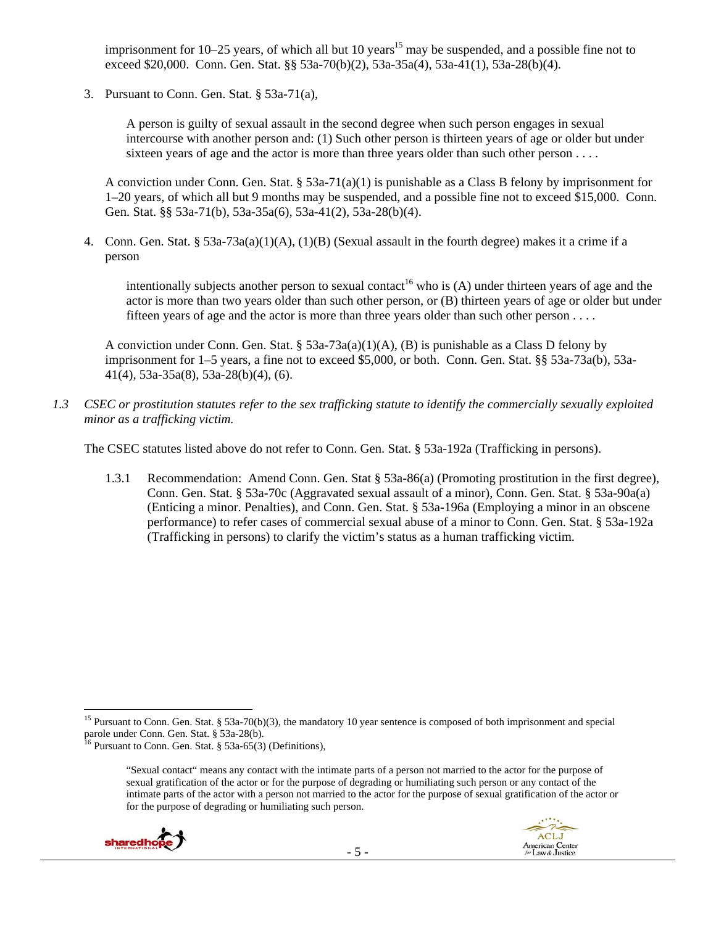imprisonment for  $10-25$  years, of which all but  $10$  years<sup>15</sup> may be suspended, and a possible fine not to exceed \$20,000. Conn. Gen. Stat. §§ 53a-70(b)(2), 53a-35a(4), 53a-41(1), 53a-28(b)(4).

3. Pursuant to Conn. Gen. Stat. § 53a-71(a),

A person is guilty of sexual assault in the second degree when such person engages in sexual intercourse with another person and: (1) Such other person is thirteen years of age or older but under sixteen years of age and the actor is more than three years older than such other person . . . .

A conviction under Conn. Gen. Stat. § 53a-71(a)(1) is punishable as a Class B felony by imprisonment for 1–20 years, of which all but 9 months may be suspended, and a possible fine not to exceed \$15,000. Conn. Gen. Stat. §§ 53a-71(b), 53a-35a(6), 53a-41(2), 53a-28(b)(4).

4. Conn. Gen. Stat. § 53a-73a(a)(1)(A), (1)(B) (Sexual assault in the fourth degree) makes it a crime if a person

intentionally subjects another person to sexual contact<sup>16</sup> who is (A) under thirteen years of age and the actor is more than two years older than such other person, or (B) thirteen years of age or older but under fifteen years of age and the actor is more than three years older than such other person . . . .

A conviction under Conn. Gen. Stat. §  $53a-73a(a)(1)(A)$ , (B) is punishable as a Class D felony by imprisonment for 1–5 years, a fine not to exceed \$5,000, or both. Conn. Gen. Stat. §§ 53a-73a(b), 53a-41(4), 53a-35a(8), 53a-28(b)(4), (6).

*1.3 CSEC or prostitution statutes refer to the sex trafficking statute to identify the commercially sexually exploited minor as a trafficking victim.* 

The CSEC statutes listed above do not refer to Conn. Gen. Stat. § 53a-192a (Trafficking in persons).

1.3.1 Recommendation: Amend Conn. Gen. Stat § 53a-86(a) (Promoting prostitution in the first degree), Conn. Gen. Stat. § 53a-70c (Aggravated sexual assault of a minor), Conn. Gen. Stat. § 53a-90a(a) (Enticing a minor. Penalties), and Conn. Gen. Stat. § 53a-196a (Employing a minor in an obscene performance) to refer cases of commercial sexual abuse of a minor to Conn. Gen. Stat. § 53a-192a (Trafficking in persons) to clarify the victim's status as a human trafficking victim.

<sup>&</sup>quot;Sexual contact" means any contact with the intimate parts of a person not married to the actor for the purpose of sexual gratification of the actor or for the purpose of degrading or humiliating such person or any contact of the intimate parts of the actor with a person not married to the actor for the purpose of sexual gratification of the actor or for the purpose of degrading or humiliating such person.





<sup>&</sup>lt;sup>15</sup> Pursuant to Conn. Gen. Stat. § 53a-70(b)(3), the mandatory 10 year sentence is composed of both imprisonment and special parole under Conn. Gen. Stat. § 53a-28(b).

<sup>&</sup>lt;sup>16</sup> Pursuant to Conn. Gen. Stat.  $\S$  53a-65(3) (Definitions),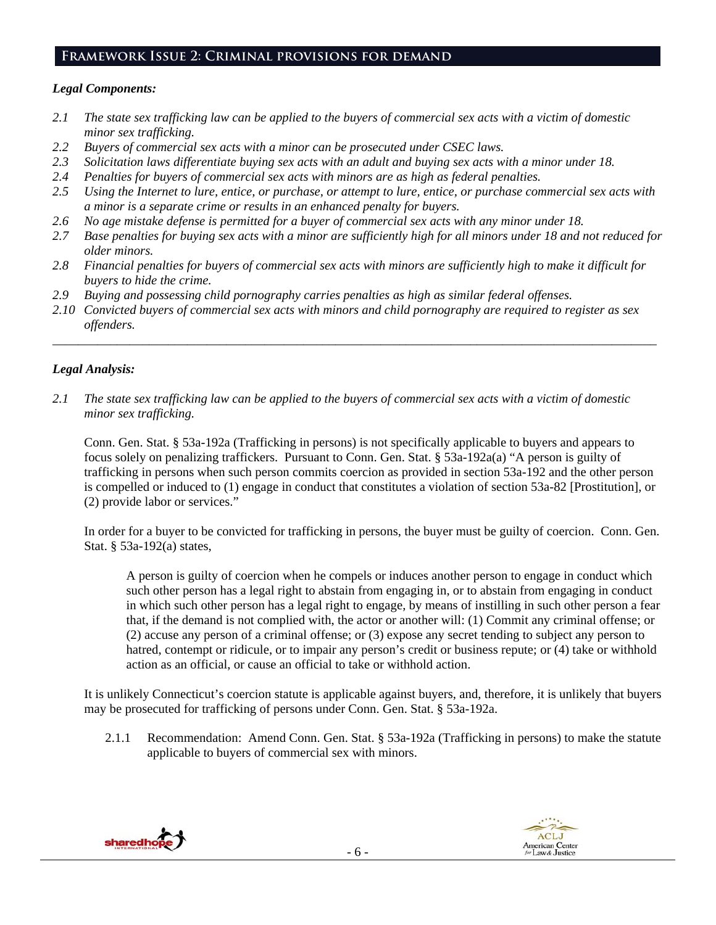#### **Framework Issue 2: Criminal provisions for demand**

#### *Legal Components:*

- *2.1 The state sex trafficking law can be applied to the buyers of commercial sex acts with a victim of domestic minor sex trafficking.*
- *2.2 Buyers of commercial sex acts with a minor can be prosecuted under CSEC laws.*
- *2.3 Solicitation laws differentiate buying sex acts with an adult and buying sex acts with a minor under 18.*
- *2.4 Penalties for buyers of commercial sex acts with minors are as high as federal penalties.*
- *2.5 Using the Internet to lure, entice, or purchase, or attempt to lure, entice, or purchase commercial sex acts with a minor is a separate crime or results in an enhanced penalty for buyers.*
- *2.6 No age mistake defense is permitted for a buyer of commercial sex acts with any minor under 18.*
- *2.7 Base penalties for buying sex acts with a minor are sufficiently high for all minors under 18 and not reduced for older minors.*
- *2.8 Financial penalties for buyers of commercial sex acts with minors are sufficiently high to make it difficult for buyers to hide the crime.*
- *2.9 Buying and possessing child pornography carries penalties as high as similar federal offenses.*
- *2.10 Convicted buyers of commercial sex acts with minors and child pornography are required to register as sex offenders.*

\_\_\_\_\_\_\_\_\_\_\_\_\_\_\_\_\_\_\_\_\_\_\_\_\_\_\_\_\_\_\_\_\_\_\_\_\_\_\_\_\_\_\_\_\_\_\_\_\_\_\_\_\_\_\_\_\_\_\_\_\_\_\_\_\_\_\_\_\_\_\_\_\_\_\_\_\_\_\_\_\_\_\_\_\_\_\_\_\_\_\_\_\_\_

# *Legal Analysis:*

*2.1 The state sex trafficking law can be applied to the buyers of commercial sex acts with a victim of domestic minor sex trafficking.* 

Conn. Gen. Stat. § 53a-192a (Trafficking in persons) is not specifically applicable to buyers and appears to focus solely on penalizing traffickers. Pursuant to Conn. Gen. Stat. § 53a-192a(a) "A person is guilty of trafficking in persons when such person commits coercion as provided in section 53a-192 and the other person is compelled or induced to (1) engage in conduct that constitutes a violation of section 53a-82 [Prostitution], or (2) provide labor or services."

In order for a buyer to be convicted for trafficking in persons, the buyer must be guilty of coercion. Conn. Gen. Stat. § 53a-192(a) states,

A person is guilty of coercion when he compels or induces another person to engage in conduct which such other person has a legal right to abstain from engaging in, or to abstain from engaging in conduct in which such other person has a legal right to engage, by means of instilling in such other person a fear that, if the demand is not complied with, the actor or another will: (1) Commit any criminal offense; or (2) accuse any person of a criminal offense; or (3) expose any secret tending to subject any person to hatred, contempt or ridicule, or to impair any person's credit or business repute; or (4) take or withhold action as an official, or cause an official to take or withhold action.

It is unlikely Connecticut's coercion statute is applicable against buyers, and, therefore, it is unlikely that buyers may be prosecuted for trafficking of persons under Conn. Gen. Stat. § 53a-192a.

2.1.1 Recommendation: Amend Conn. Gen. Stat. § 53a-192a (Trafficking in persons) to make the statute applicable to buyers of commercial sex with minors.



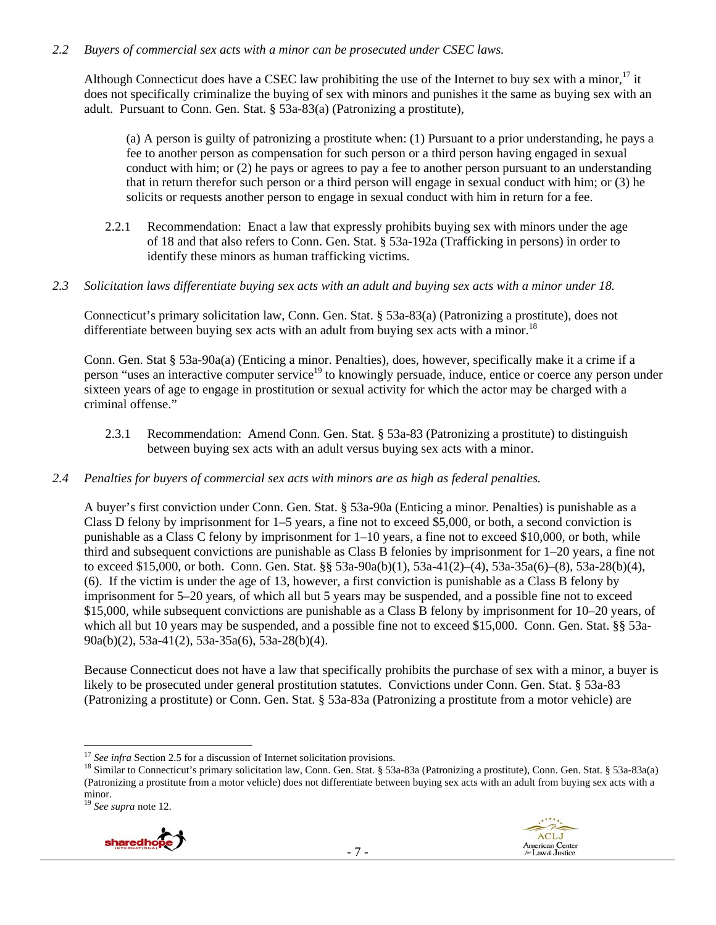#### *2.2 Buyers of commercial sex acts with a minor can be prosecuted under CSEC laws.*

Although Connecticut does have a CSEC law prohibiting the use of the Internet to buy sex with a minor.<sup>17</sup> it does not specifically criminalize the buying of sex with minors and punishes it the same as buying sex with an adult. Pursuant to Conn. Gen. Stat. § 53a-83(a) (Patronizing a prostitute),

(a) A person is guilty of patronizing a prostitute when: (1) Pursuant to a prior understanding, he pays a fee to another person as compensation for such person or a third person having engaged in sexual conduct with him; or (2) he pays or agrees to pay a fee to another person pursuant to an understanding that in return therefor such person or a third person will engage in sexual conduct with him; or (3) he solicits or requests another person to engage in sexual conduct with him in return for a fee.

- 2.2.1 Recommendation: Enact a law that expressly prohibits buying sex with minors under the age of 18 and that also refers to Conn. Gen. Stat. § 53a-192a (Trafficking in persons) in order to identify these minors as human trafficking victims.
- *2.3 Solicitation laws differentiate buying sex acts with an adult and buying sex acts with a minor under 18.*

Connecticut's primary solicitation law, Conn. Gen. Stat. § 53a-83(a) (Patronizing a prostitute), does not differentiate between buying sex acts with an adult from buying sex acts with a minor.<sup>18</sup>

Conn. Gen. Stat § 53a-90a(a) (Enticing a minor. Penalties), does, however, specifically make it a crime if a person "uses an interactive computer service<sup>19</sup> to knowingly persuade, induce, entice or coerce any person under sixteen years of age to engage in prostitution or sexual activity for which the actor may be charged with a criminal offense."

- 2.3.1 Recommendation: Amend Conn. Gen. Stat. § 53a-83 (Patronizing a prostitute) to distinguish between buying sex acts with an adult versus buying sex acts with a minor.
- *2.4 Penalties for buyers of commercial sex acts with minors are as high as federal penalties.*

A buyer's first conviction under Conn. Gen. Stat. § 53a-90a (Enticing a minor. Penalties) is punishable as a Class D felony by imprisonment for 1–5 years, a fine not to exceed \$5,000, or both, a second conviction is punishable as a Class C felony by imprisonment for 1–10 years, a fine not to exceed \$10,000, or both, while third and subsequent convictions are punishable as Class B felonies by imprisonment for 1–20 years, a fine not to exceed \$15,000, or both. Conn. Gen. Stat. §§ 53a-90a(b)(1), 53a-41(2)–(4), 53a-35a(6)–(8), 53a-28(b)(4), (6). If the victim is under the age of 13, however, a first conviction is punishable as a Class B felony by imprisonment for 5–20 years, of which all but 5 years may be suspended, and a possible fine not to exceed \$15,000, while subsequent convictions are punishable as a Class B felony by imprisonment for 10–20 years, of which all but 10 years may be suspended, and a possible fine not to exceed \$15,000. Conn. Gen. Stat. §§ 53a-90a(b)(2), 53a-41(2), 53a-35a(6), 53a-28(b)(4).

Because Connecticut does not have a law that specifically prohibits the purchase of sex with a minor, a buyer is likely to be prosecuted under general prostitution statutes. Convictions under Conn. Gen. Stat. § 53a-83 (Patronizing a prostitute) or Conn. Gen. Stat. § 53a-83a (Patronizing a prostitute from a motor vehicle) are

<sup>19</sup> *See supra* note 12.





 $\overline{a}$ 

<sup>&</sup>lt;sup>17</sup> *See infra* Section 2.5 for a discussion of Internet solicitation provisions.<br><sup>18</sup> Similar to Connecticut's primary solicitation law, Conn. Gen. Stat. § 53a-83a (Patronizing a prostitute), Conn. Gen. Stat. § 53a-83a(a (Patronizing a prostitute from a motor vehicle) does not differentiate between buying sex acts with an adult from buying sex acts with a minor.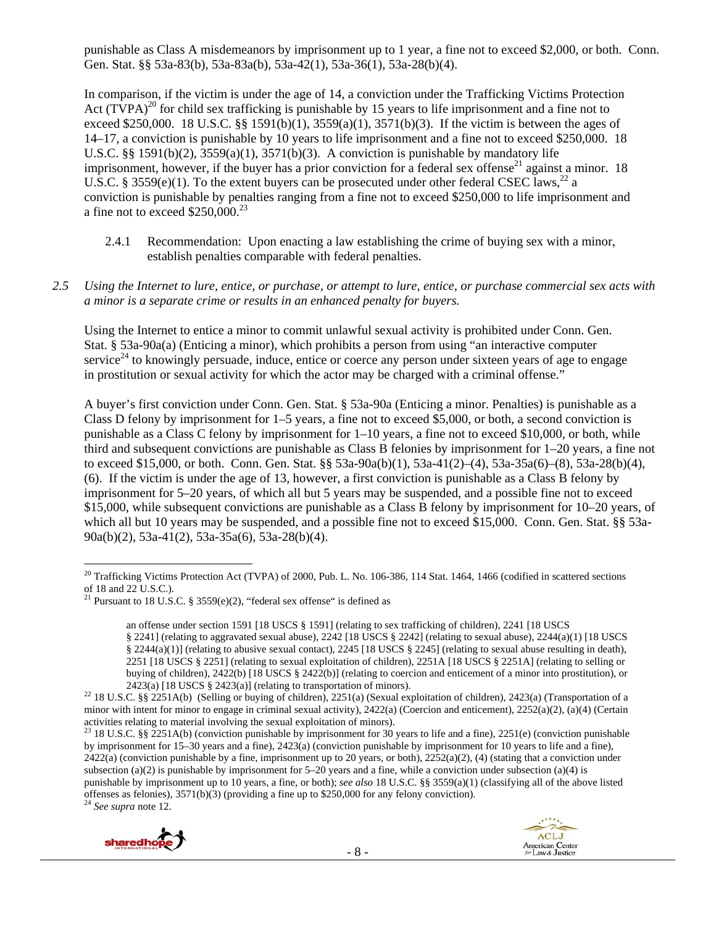punishable as Class A misdemeanors by imprisonment up to 1 year, a fine not to exceed \$2,000, or both. Conn. Gen. Stat. §§ 53a-83(b), 53a-83a(b), 53a-42(1), 53a-36(1), 53a-28(b)(4).

In comparison, if the victim is under the age of 14, a conviction under the Trafficking Victims Protection Act  $(TVPA)^{20}$  for child sex trafficking is punishable by 15 years to life imprisonment and a fine not to exceed \$250,000. 18 U.S.C. §§ 1591(b)(1), 3559(a)(1), 3571(b)(3). If the victim is between the ages of 14–17, a conviction is punishable by 10 years to life imprisonment and a fine not to exceed \$250,000. 18 U.S.C. §§ 1591(b)(2),  $3559(a)(1)$ ,  $3571(b)(3)$ . A conviction is punishable by mandatory life imprisonment, however, if the buyer has a prior conviction for a federal sex offense<sup>21</sup> against a minor. 18 U.S.C. § 3559(e)(1). To the extent buyers can be prosecuted under other federal CSEC laws,<sup>22</sup> a conviction is punishable by penalties ranging from a fine not to exceed \$250,000 to life imprisonment and a fine not to exceed \$250,000.23

- 2.4.1 Recommendation: Upon enacting a law establishing the crime of buying sex with a minor, establish penalties comparable with federal penalties.
- *2.5 Using the Internet to lure, entice, or purchase, or attempt to lure, entice, or purchase commercial sex acts with a minor is a separate crime or results in an enhanced penalty for buyers.*

Using the Internet to entice a minor to commit unlawful sexual activity is prohibited under Conn. Gen. Stat. § 53a-90a(a) (Enticing a minor), which prohibits a person from using "an interactive computer service<sup>24</sup> to knowingly persuade, induce, entice or coerce any person under sixteen years of age to engage in prostitution or sexual activity for which the actor may be charged with a criminal offense."

A buyer's first conviction under Conn. Gen. Stat. § 53a-90a (Enticing a minor. Penalties) is punishable as a Class D felony by imprisonment for 1–5 years, a fine not to exceed \$5,000, or both, a second conviction is punishable as a Class C felony by imprisonment for 1–10 years, a fine not to exceed \$10,000, or both, while third and subsequent convictions are punishable as Class B felonies by imprisonment for 1–20 years, a fine not to exceed \$15,000, or both. Conn. Gen. Stat. §§ 53a-90a(b)(1), 53a-41(2)–(4), 53a-35a(6)–(8), 53a-28(b)(4), (6). If the victim is under the age of 13, however, a first conviction is punishable as a Class B felony by imprisonment for 5–20 years, of which all but 5 years may be suspended, and a possible fine not to exceed \$15,000, while subsequent convictions are punishable as a Class B felony by imprisonment for 10–20 years, of which all but 10 years may be suspended, and a possible fine not to exceed \$15,000. Conn. Gen. Stat. §§ 53a-90a(b)(2), 53a-41(2), 53a-35a(6), 53a-28(b)(4).





 $\overline{a}$  $^{20}$  Trafficking Victims Protection Act (TVPA) of 2000, Pub. L. No. 106-386, 114 Stat. 1464, 1466 (codified in scattered sections of 18 and 22 U.S.C.).

<sup>&</sup>lt;sup>21</sup> Pursuant to 18 U.S.C. § 3559(e)(2), "federal sex offense" is defined as

an offense under section 1591 [18 USCS § 1591] (relating to sex trafficking of children), 2241 [18 USCS § 2241] (relating to aggravated sexual abuse), 2242 [18 USCS § 2242] (relating to sexual abuse), 2244(a)(1) [18 USCS § 2244(a)(1)] (relating to abusive sexual contact), 2245 [18 USCS § 2245] (relating to sexual abuse resulting in death), 2251 [18 USCS § 2251] (relating to sexual exploitation of children), 2251A [18 USCS § 2251A] (relating to selling or buying of children), 2422(b) [18 USCS § 2422(b)] (relating to coercion and enticement of a minor into prostitution), or

<sup>2423(</sup>a) [18 USCS § 2423(a)] (relating to transportation of minors).<br><sup>22</sup> 18 U.S.C. §§ 2251A(b) (Selling or buying of children), 2251(a) (Sexual exploitation of children), 2423(a) (Transportation of a minor with intent for minor to engage in criminal sexual activity), 2422(a) (Coercion and enticement), 2252(a)(2), (a)(4) (Certain activities relating to material involving the sexual exploitation of minors).

<sup>&</sup>lt;sup>23</sup> 18 U.S.C. §§ 2251A(b) (conviction punishable by imprisonment for 30 years to life and a fine), 2251(e) (conviction punishable by imprisonment for 15–30 years and a fine), 2423(a) (conviction punishable by imprisonment for 10 years to life and a fine),  $2422(a)$  (conviction punishable by a fine, imprisonment up to 20 years, or both),  $2252(a)(2)$ , (4) (stating that a conviction under subsection (a)(2) is punishable by imprisonment for  $5-20$  years and a fine, while a conviction under subsection (a)(4) is punishable by imprisonment up to 10 years, a fine, or both); *see also* 18 U.S.C. §§ 3559(a)(1) (classifying all of the above listed offenses as felonies), 3571(b)(3) (providing a fine up to \$250,000 for any felony conviction). 24 *See supra* note 12.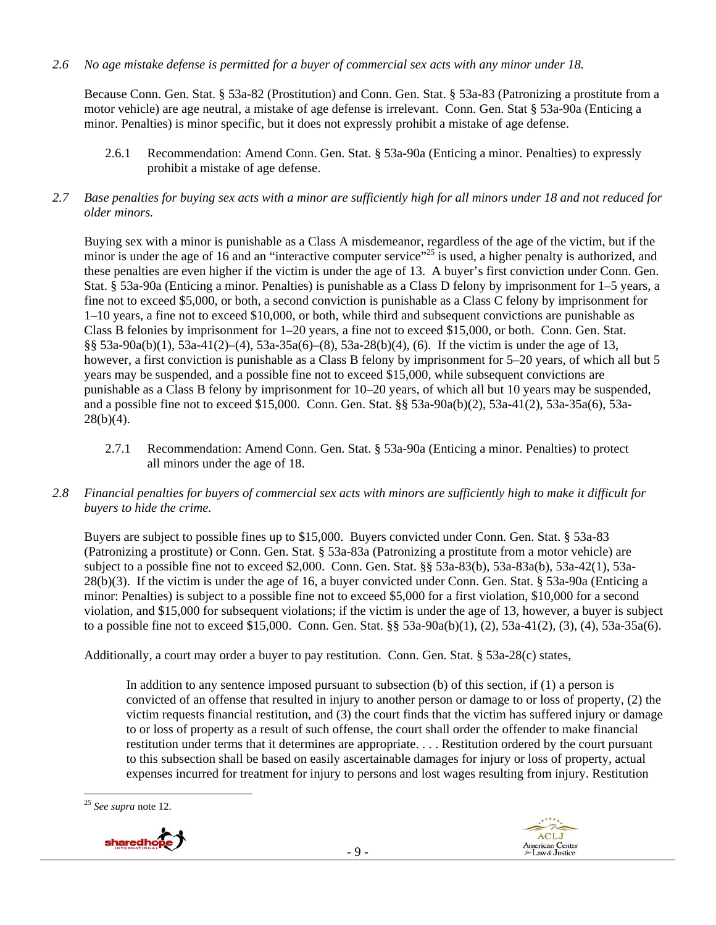*2.6 No age mistake defense is permitted for a buyer of commercial sex acts with any minor under 18.* 

Because Conn. Gen. Stat. § 53a-82 (Prostitution) and Conn. Gen. Stat. § 53a-83 (Patronizing a prostitute from a motor vehicle) are age neutral, a mistake of age defense is irrelevant. Conn. Gen. Stat § 53a-90a (Enticing a minor. Penalties) is minor specific, but it does not expressly prohibit a mistake of age defense.

- 2.6.1 Recommendation: Amend Conn. Gen. Stat. § 53a-90a (Enticing a minor. Penalties) to expressly prohibit a mistake of age defense.
- *2.7 Base penalties for buying sex acts with a minor are sufficiently high for all minors under 18 and not reduced for older minors.*

Buying sex with a minor is punishable as a Class A misdemeanor, regardless of the age of the victim, but if the minor is under the age of 16 and an "interactive computer service"<sup>25</sup> is used, a higher penalty is authorized, and these penalties are even higher if the victim is under the age of 13. A buyer's first conviction under Conn. Gen. Stat. § 53a-90a (Enticing a minor. Penalties) is punishable as a Class D felony by imprisonment for 1–5 years, a fine not to exceed \$5,000, or both, a second conviction is punishable as a Class C felony by imprisonment for 1–10 years, a fine not to exceed \$10,000, or both, while third and subsequent convictions are punishable as Class B felonies by imprisonment for 1–20 years, a fine not to exceed \$15,000, or both. Conn. Gen. Stat. §§ 53a-90a(b)(1), 53a-41(2)–(4), 53a-35a(6)–(8), 53a-28(b)(4), (6). If the victim is under the age of 13, however, a first conviction is punishable as a Class B felony by imprisonment for 5–20 years, of which all but 5 years may be suspended, and a possible fine not to exceed \$15,000, while subsequent convictions are punishable as a Class B felony by imprisonment for 10–20 years, of which all but 10 years may be suspended, and a possible fine not to exceed \$15,000. Conn. Gen. Stat. §§ 53a-90a(b)(2), 53a-41(2), 53a-35a(6), 53a- $28(b)(4)$ .

- 2.7.1 Recommendation: Amend Conn. Gen. Stat. § 53a-90a (Enticing a minor. Penalties) to protect all minors under the age of 18.
- *2.8 Financial penalties for buyers of commercial sex acts with minors are sufficiently high to make it difficult for buyers to hide the crime.*

Buyers are subject to possible fines up to \$15,000. Buyers convicted under Conn. Gen. Stat. § 53a-83 (Patronizing a prostitute) or Conn. Gen. Stat. § 53a-83a (Patronizing a prostitute from a motor vehicle) are subject to a possible fine not to exceed \$2,000. Conn. Gen. Stat. §§ 53a-83(b), 53a-83a(b), 53a-42(1), 53a-28(b)(3). If the victim is under the age of 16, a buyer convicted under Conn. Gen. Stat. § 53a-90a (Enticing a minor: Penalties) is subject to a possible fine not to exceed \$5,000 for a first violation, \$10,000 for a second violation, and \$15,000 for subsequent violations; if the victim is under the age of 13, however, a buyer is subject to a possible fine not to exceed \$15,000. Conn. Gen. Stat. §§ 53a-90a(b)(1), (2), 53a-41(2), (3), (4), 53a-35a(6).

Additionally, a court may order a buyer to pay restitution. Conn. Gen. Stat. § 53a-28(c) states,

In addition to any sentence imposed pursuant to subsection (b) of this section, if (1) a person is convicted of an offense that resulted in injury to another person or damage to or loss of property, (2) the victim requests financial restitution, and (3) the court finds that the victim has suffered injury or damage to or loss of property as a result of such offense, the court shall order the offender to make financial restitution under terms that it determines are appropriate. . . . Restitution ordered by the court pursuant to this subsection shall be based on easily ascertainable damages for injury or loss of property, actual expenses incurred for treatment for injury to persons and lost wages resulting from injury. Restitution

 $\overline{a}$ <sup>25</sup> *See supra* note 12.



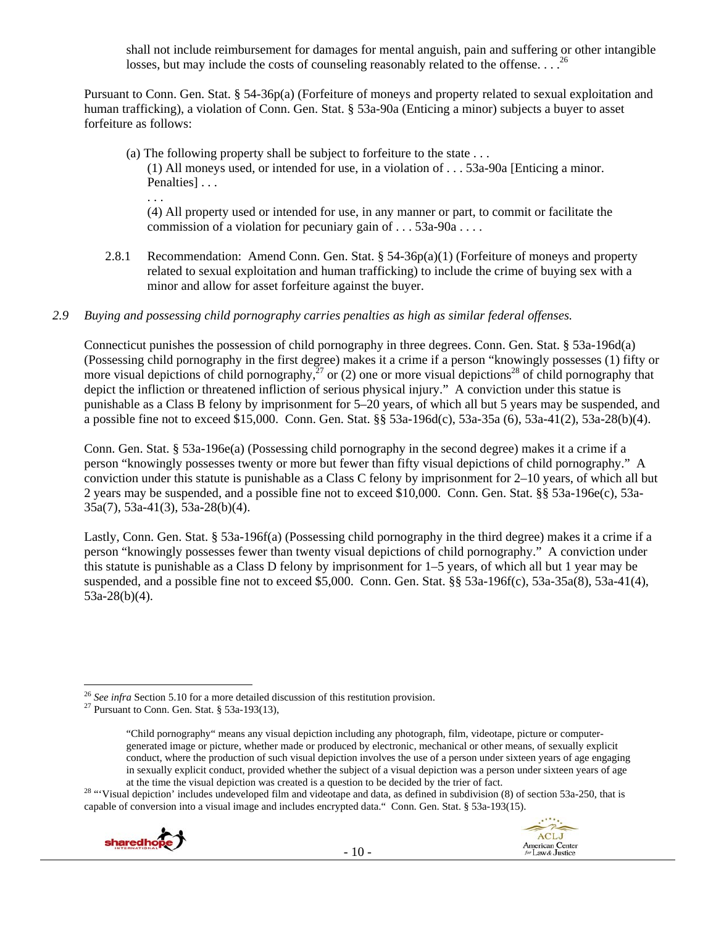shall not include reimbursement for damages for mental anguish, pain and suffering or other intangible losses, but may include the costs of counseling reasonably related to the offense... $^{26}$ 

Pursuant to Conn. Gen. Stat. § 54-36p(a) (Forfeiture of moneys and property related to sexual exploitation and human trafficking), a violation of Conn. Gen. Stat. § 53a-90a (Enticing a minor) subjects a buyer to asset forfeiture as follows:

(a) The following property shall be subject to forfeiture to the state . . . (1) All moneys used, or intended for use, in a violation of . . . 53a-90a [Enticing a minor. Penalties]... . . .

(4) All property used or intended for use, in any manner or part, to commit or facilitate the commission of a violation for pecuniary gain of . . . 53a-90a . . . .

2.8.1 Recommendation: Amend Conn. Gen. Stat. § 54-36p(a)(1) (Forfeiture of moneys and property related to sexual exploitation and human trafficking) to include the crime of buying sex with a minor and allow for asset forfeiture against the buyer.

#### *2.9 Buying and possessing child pornography carries penalties as high as similar federal offenses.*

Connecticut punishes the possession of child pornography in three degrees. Conn. Gen. Stat. § 53a-196d(a) (Possessing child pornography in the first degree) makes it a crime if a person "knowingly possesses (1) fifty or more visual depictions of child pornography, $^{27}$  or (2) one or more visual depictions<sup>28</sup> of child pornography that depict the infliction or threatened infliction of serious physical injury." A conviction under this statue is punishable as a Class B felony by imprisonment for 5–20 years, of which all but 5 years may be suspended, and a possible fine not to exceed \$15,000. Conn. Gen. Stat. §§ 53a-196d(c), 53a-35a (6), 53a-41(2), 53a-28(b)(4).

Conn. Gen. Stat. § 53a-196e(a) (Possessing child pornography in the second degree) makes it a crime if a person "knowingly possesses twenty or more but fewer than fifty visual depictions of child pornography." A conviction under this statute is punishable as a Class C felony by imprisonment for 2–10 years, of which all but 2 years may be suspended, and a possible fine not to exceed \$10,000. Conn. Gen. Stat. §§ 53a-196e(c), 53a-35a(7), 53a-41(3), 53a-28(b)(4).

Lastly, Conn. Gen. Stat. § 53a-196f(a) (Possessing child pornography in the third degree) makes it a crime if a person "knowingly possesses fewer than twenty visual depictions of child pornography." A conviction under this statute is punishable as a Class D felony by imprisonment for 1–5 years, of which all but 1 year may be suspended, and a possible fine not to exceed \$5,000. Conn. Gen. Stat. §§ 53a-196f(c), 53a-35a(8), 53a-41(4), 53a-28(b)(4).

ACLJ

American Center<br>for Law & Justice

<sup>&</sup>lt;sup>28</sup> "Visual depiction' includes undeveloped film and videotape and data, as defined in subdivision (8) of section 53a-250, that is capable of conversion into a visual image and includes encrypted data." Conn. Gen. Stat. § 53a-193(15).



 $\overline{a}$ <sup>26</sup> *See infra Section 5.10* for a more detailed discussion of this restitution provision. <sup>27</sup> Pursuant to Conn. Gen. Stat. § 53a-193(13),

<sup>&</sup>quot;Child pornography" means any visual depiction including any photograph, film, videotape, picture or computergenerated image or picture, whether made or produced by electronic, mechanical or other means, of sexually explicit conduct, where the production of such visual depiction involves the use of a person under sixteen years of age engaging in sexually explicit conduct, provided whether the subject of a visual depiction was a person under sixteen years of age at the time the visual depiction was created is a question to be decided by the trier of fact.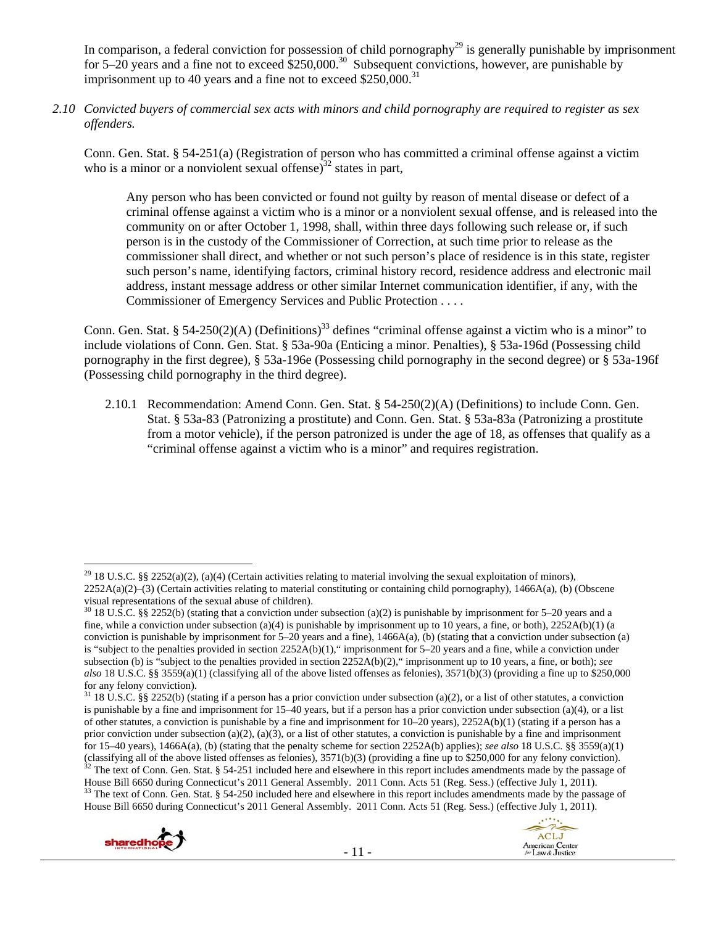In comparison, a federal conviction for possession of child pornography<sup>29</sup> is generally punishable by imprisonment for 5–20 years and a fine not to exceed  $$250,000.<sup>30</sup>$  Subsequent convictions, however, are punishable by imprisonment up to 40 years and a fine not to exceed  $$250,000$ .<sup>31</sup>

*2.10 Convicted buyers of commercial sex acts with minors and child pornography are required to register as sex offenders.* 

Conn. Gen. Stat. § 54-251(a) (Registration of person who has committed a criminal offense against a victim who is a minor or a nonviolent sexual offense) $^{32}$  states in part,

Any person who has been convicted or found not guilty by reason of mental disease or defect of a criminal offense against a victim who is a minor or a nonviolent sexual offense, and is released into the community on or after October 1, 1998, shall, within three days following such release or, if such person is in the custody of the Commissioner of Correction, at such time prior to release as the commissioner shall direct, and whether or not such person's place of residence is in this state, register such person's name, identifying factors, criminal history record, residence address and electronic mail address, instant message address or other similar Internet communication identifier, if any, with the Commissioner of Emergency Services and Public Protection . . . .

Conn. Gen. Stat. § 54-250(2)(A) (Definitions)<sup>33</sup> defines "criminal offense against a victim who is a minor" to include violations of Conn. Gen. Stat. § 53a-90a (Enticing a minor. Penalties), § 53a-196d (Possessing child pornography in the first degree), § 53a-196e (Possessing child pornography in the second degree) or § 53a-196f (Possessing child pornography in the third degree).

2.10.1 Recommendation: Amend Conn. Gen. Stat. § 54-250(2)(A) (Definitions) to include Conn. Gen. Stat. § 53a-83 (Patronizing a prostitute) and Conn. Gen. Stat. § 53a-83a (Patronizing a prostitute from a motor vehicle), if the person patronized is under the age of 18, as offenses that qualify as a "criminal offense against a victim who is a minor" and requires registration.

House Bill 6650 during Connecticut's 2011 General Assembly. 2011 Conn. Acts 51 (Reg. Sess.) (effective July 1, 2011).<br><sup>33</sup> The text of Conn. Gen. Stat. § 54-250 included here and elsewhere in this report includes amendment House Bill 6650 during Connecticut's 2011 General Assembly. 2011 Conn. Acts 51 (Reg. Sess.) (effective July 1, 2011).





 $\overline{a}$ <sup>29</sup> 18 U.S.C. §§ 2252(a)(2), (a)(4) (Certain activities relating to material involving the sexual exploitation of minors),  $2252A(a)(2)$ –(3) (Certain activities relating to material constituting or containing child pornography), 1466A(a), (b) (Obscene visual representations of the sexual abuse of children).

 $30\,18$  U.S.C. §§ 2252(b) (stating that a conviction under subsection (a)(2) is punishable by imprisonment for 5–20 years and a fine, while a conviction under subsection (a)(4) is punishable by imprisonment up to 10 years, a fine, or both),  $2252A(b)(1)$  (a conviction is punishable by imprisonment for  $5-20$  years and a fine), 1466A(a), (b) (stating that a conviction under subsection (a) is "subject to the penalties provided in section 2252A(b)(1)," imprisonment for 5–20 years and a fine, while a conviction under subsection (b) is "subject to the penalties provided in section 2252A(b)(2)," imprisonment up to 10 years, a fine, or both); *see also* 18 U.S.C. §§ 3559(a)(1) (classifying all of the above listed offenses as felonies), 3571(b)(3) (providing a fine up to \$250,000 for any felony conviction).

<sup>&</sup>lt;sup>31</sup> 18 U.S.C. §§ 2252(b) (stating if a person has a prior conviction under subsection (a)(2), or a list of other statutes, a conviction is punishable by a fine and imprisonment for 15–40 years, but if a person has a prior conviction under subsection (a)(4), or a list of other statutes, a conviction is punishable by a fine and imprisonment for 10–20 years), 2252A(b)(1) (stating if a person has a prior conviction under subsection (a)(2), (a)(3), or a list of other statutes, a conviction is punishable by a fine and imprisonment for 15–40 years), 1466A(a), (b) (stating that the penalty scheme for section 2252A(b) applies); *see also* 18 U.S.C. §§ 3559(a)(1) (classifying all of the above listed offenses as felonies),  $3571(b)(3)$  (providing a fine up to \$250,000 for any felony conviction).<br><sup>32</sup> The text of Conn. Gen. Stat. § 54-251 included here and elsewhere in this report inc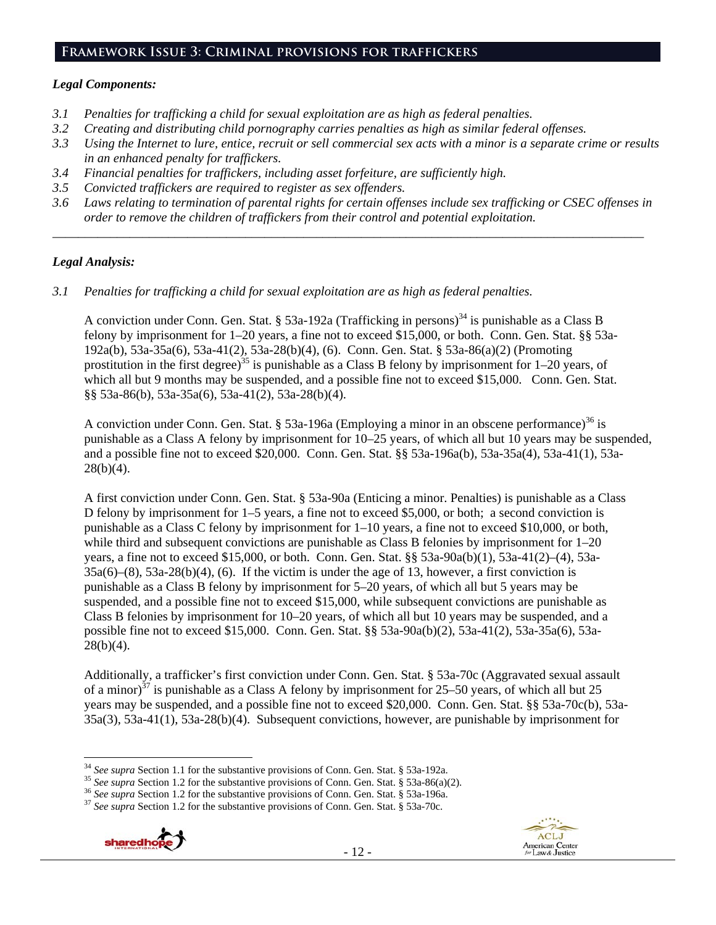# **Framework Issue 3: Criminal provisions for traffickers**

#### *Legal Components:*

- *3.1 Penalties for trafficking a child for sexual exploitation are as high as federal penalties.*
- *3.2 Creating and distributing child pornography carries penalties as high as similar federal offenses.*
- *3.3 Using the Internet to lure, entice, recruit or sell commercial sex acts with a minor is a separate crime or results in an enhanced penalty for traffickers.*
- *3.4 Financial penalties for traffickers, including asset forfeiture, are sufficiently high.*
- *3.5 Convicted traffickers are required to register as sex offenders.*
- *3.6 Laws relating to termination of parental rights for certain offenses include sex trafficking or CSEC offenses in order to remove the children of traffickers from their control and potential exploitation.*

*\_\_\_\_\_\_\_\_\_\_\_\_\_\_\_\_\_\_\_\_\_\_\_\_\_\_\_\_\_\_\_\_\_\_\_\_\_\_\_\_\_\_\_\_\_\_\_\_\_\_\_\_\_\_\_\_\_\_\_\_\_\_\_\_\_\_\_\_\_\_\_\_\_\_\_\_\_\_\_\_\_\_\_\_\_\_\_\_\_\_\_\_*

#### *Legal Analysis:*

*3.1 Penalties for trafficking a child for sexual exploitation are as high as federal penalties.* 

A conviction under Conn. Gen. Stat. § 53a-192a (Trafficking in persons)<sup>34</sup> is punishable as a Class B felony by imprisonment for 1–20 years, a fine not to exceed \$15,000, or both. Conn. Gen. Stat. §§ 53a-192a(b), 53a-35a(6), 53a-41(2), 53a-28(b)(4), (6). Conn. Gen. Stat. § 53a-86(a)(2) (Promoting prostitution in the first degree)<sup>35</sup> is punishable as a Class B felony by imprisonment for  $1-20$  years, of which all but 9 months may be suspended, and a possible fine not to exceed \$15,000. Conn. Gen. Stat. §§ 53a-86(b), 53a-35a(6), 53a-41(2), 53a-28(b)(4).

A conviction under Conn. Gen. Stat. § 53a-196a (Employing a minor in an obscene performance)<sup>36</sup> is punishable as a Class A felony by imprisonment for 10–25 years, of which all but 10 years may be suspended, and a possible fine not to exceed \$20,000. Conn. Gen. Stat. §§ 53a-196a(b), 53a-35a(4), 53a-41(1), 53a- $28(b)(4)$ .

A first conviction under Conn. Gen. Stat. § 53a-90a (Enticing a minor. Penalties) is punishable as a Class D felony by imprisonment for 1–5 years, a fine not to exceed \$5,000, or both; a second conviction is punishable as a Class C felony by imprisonment for 1–10 years, a fine not to exceed \$10,000, or both, while third and subsequent convictions are punishable as Class B felonies by imprisonment for  $1-20$ years, a fine not to exceed \$15,000, or both. Conn. Gen. Stat. §§ 53a-90a(b)(1), 53a-41(2)–(4), 53a- $35a(6)$ – $(8)$ ,  $53a-28(b)(4)$ ,  $(6)$ . If the victim is under the age of 13, however, a first conviction is punishable as a Class B felony by imprisonment for 5–20 years, of which all but 5 years may be suspended, and a possible fine not to exceed \$15,000, while subsequent convictions are punishable as Class B felonies by imprisonment for 10–20 years, of which all but 10 years may be suspended, and a possible fine not to exceed \$15,000. Conn. Gen. Stat. §§ 53a-90a(b)(2), 53a-41(2), 53a-35a(6), 53a- $28(b)(4)$ .

Additionally, a trafficker's first conviction under Conn. Gen. Stat. § 53a-70c (Aggravated sexual assault of a minor)<sup>37</sup> is punishable as a Class A felony by imprisonment for 25–50 years, of which all but 25 years may be suspended, and a possible fine not to exceed \$20,000. Conn. Gen. Stat. §§ 53a-70c(b), 53a-35a(3), 53a-41(1), 53a-28(b)(4). Subsequent convictions, however, are punishable by imprisonment for





<sup>&</sup>lt;sup>34</sup> See supra Section 1.1 for the substantive provisions of Conn. Gen. Stat. § 53a-192a.

<sup>&</sup>lt;sup>35</sup> See supra Section 1.2 for the substantive provisions of Conn. Gen. Stat. § 53a-86(a)(2).<br><sup>36</sup> See supra Section 1.2 for the substantive provisions of Conn. Gen. Stat. § 53a-196a.<br><sup>37</sup> See supra Section 1.2 for the su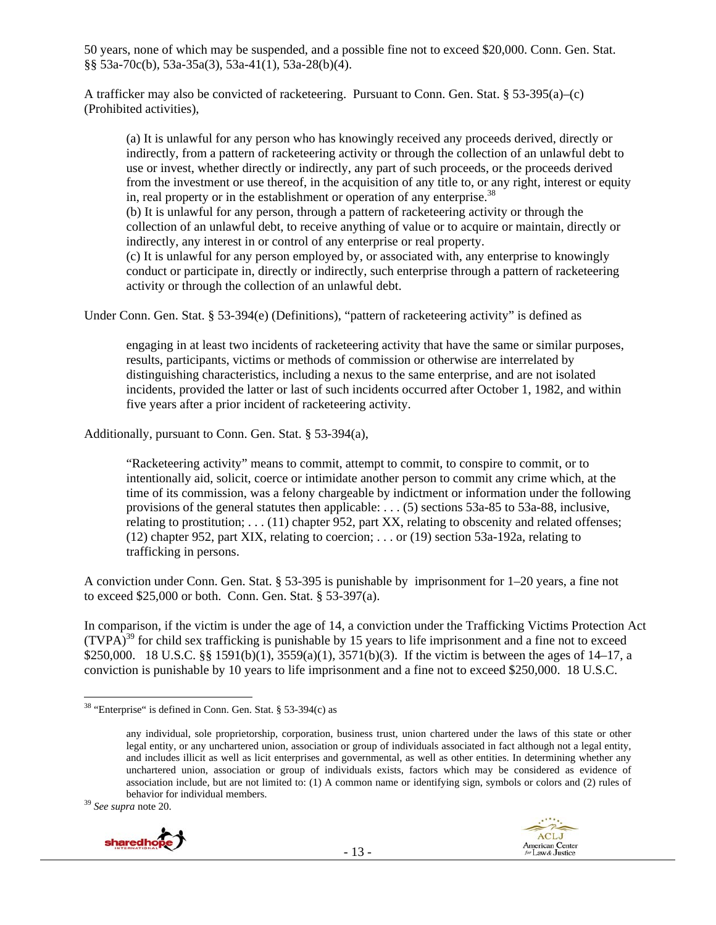50 years, none of which may be suspended, and a possible fine not to exceed \$20,000. Conn. Gen. Stat. §§ 53a-70c(b), 53a-35a(3), 53a-41(1), 53a-28(b)(4).

A trafficker may also be convicted of racketeering. Pursuant to Conn. Gen. Stat. § 53-395(a)–(c) (Prohibited activities),

(a) It is unlawful for any person who has knowingly received any proceeds derived, directly or indirectly, from a pattern of racketeering activity or through the collection of an unlawful debt to use or invest, whether directly or indirectly, any part of such proceeds, or the proceeds derived from the investment or use thereof, in the acquisition of any title to, or any right, interest or equity in, real property or in the establishment or operation of any enterprise.<sup>38</sup>

(b) It is unlawful for any person, through a pattern of racketeering activity or through the collection of an unlawful debt, to receive anything of value or to acquire or maintain, directly or indirectly, any interest in or control of any enterprise or real property.

(c) It is unlawful for any person employed by, or associated with, any enterprise to knowingly conduct or participate in, directly or indirectly, such enterprise through a pattern of racketeering activity or through the collection of an unlawful debt.

Under Conn. Gen. Stat. § 53-394(e) (Definitions), "pattern of racketeering activity" is defined as

engaging in at least two incidents of racketeering activity that have the same or similar purposes, results, participants, victims or methods of commission or otherwise are interrelated by distinguishing characteristics, including a nexus to the same enterprise, and are not isolated incidents, provided the latter or last of such incidents occurred after October 1, 1982, and within five years after a prior incident of racketeering activity.

Additionally, pursuant to Conn. Gen. Stat. § 53-394(a),

"Racketeering activity" means to commit, attempt to commit, to conspire to commit, or to intentionally aid, solicit, coerce or intimidate another person to commit any crime which, at the time of its commission, was a felony chargeable by indictment or information under the following provisions of the general statutes then applicable: . . . (5) sections 53a-85 to 53a-88, inclusive, relating to prostitution; . . . (11) chapter 952, part XX, relating to obscenity and related offenses; (12) chapter 952, part XIX, relating to coercion; . . . or (19) section 53a-192a, relating to trafficking in persons.

A conviction under Conn. Gen. Stat. § 53-395 is punishable by imprisonment for 1–20 years, a fine not to exceed \$25,000 or both. Conn. Gen. Stat. § 53-397(a).

In comparison, if the victim is under the age of 14, a conviction under the Trafficking Victims Protection Act  $(TVPA)^{39}$  for child sex trafficking is punishable by 15 years to life imprisonment and a fine not to exceed \$250,000. 18 U.S.C. §§ 1591(b)(1), 3559(a)(1), 3571(b)(3). If the victim is between the ages of 14–17, a conviction is punishable by 10 years to life imprisonment and a fine not to exceed \$250,000. 18 U.S.C.





<sup>&</sup>lt;sup>38</sup> "Enterprise" is defined in Conn. Gen. Stat. § 53-394(c) as

any individual, sole proprietorship, corporation, business trust, union chartered under the laws of this state or other legal entity, or any unchartered union, association or group of individuals associated in fact although not a legal entity, and includes illicit as well as licit enterprises and governmental, as well as other entities. In determining whether any unchartered union, association or group of individuals exists, factors which may be considered as evidence of association include, but are not limited to: (1) A common name or identifying sign, symbols or colors and (2) rules of behavior for individual members. 39 *See supra* note 20.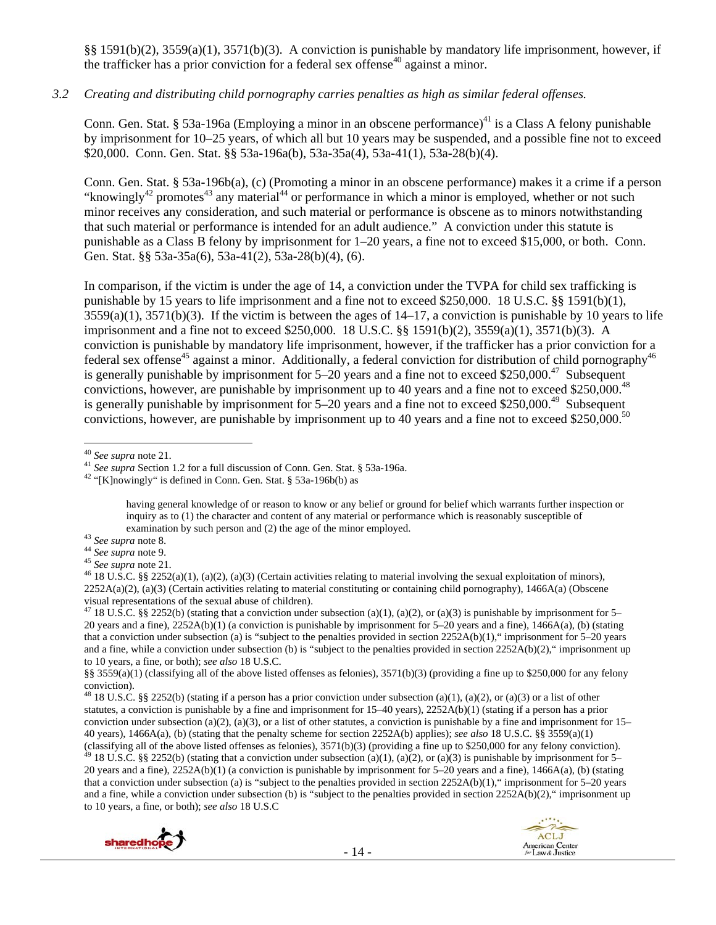§§ 1591(b)(2), 3559(a)(1), 3571(b)(3). A conviction is punishable by mandatory life imprisonment, however, if the trafficker has a prior conviction for a federal sex offense<sup>40</sup> against a minor.

#### *3.2 Creating and distributing child pornography carries penalties as high as similar federal offenses.*

Conn. Gen. Stat. § 53a-196a (Employing a minor in an obscene performance)<sup>41</sup> is a Class A felony punishable by imprisonment for 10–25 years, of which all but 10 years may be suspended, and a possible fine not to exceed \$20,000. Conn. Gen. Stat. §§ 53a-196a(b), 53a-35a(4), 53a-41(1), 53a-28(b)(4).

Conn. Gen. Stat. § 53a-196b(a), (c) (Promoting a minor in an obscene performance) makes it a crime if a person "knowingly<sup>42</sup> promotes<sup>43</sup> any material<sup>44</sup> or performance in which a minor is employed, whether or not such minor receives any consideration, and such material or performance is obscene as to minors notwithstanding that such material or performance is intended for an adult audience." A conviction under this statute is punishable as a Class B felony by imprisonment for 1–20 years, a fine not to exceed \$15,000, or both. Conn. Gen. Stat. §§ 53a-35a(6), 53a-41(2), 53a-28(b)(4), (6).

In comparison, if the victim is under the age of 14, a conviction under the TVPA for child sex trafficking is punishable by 15 years to life imprisonment and a fine not to exceed \$250,000. 18 U.S.C. §§ 1591(b)(1),  $3559(a)(1)$ ,  $3571(b)(3)$ . If the victim is between the ages of  $14-17$ , a conviction is punishable by 10 years to life imprisonment and a fine not to exceed \$250,000. 18 U.S.C. §§ 1591(b)(2), 3559(a)(1), 3571(b)(3). A conviction is punishable by mandatory life imprisonment, however, if the trafficker has a prior conviction for a federal sex offense<sup>45</sup> against a minor. Additionally, a federal conviction for distribution of child pornography<sup>46</sup> is generally punishable by imprisonment for  $5-20$  years and a fine not to exceed \$250,000.<sup>47</sup> Subsequent convictions, however, are punishable by imprisonment up to 40 years and a fine not to exceed \$250.000.<sup>48</sup> is generally punishable by imprisonment for  $5-20$  years and a fine not to exceed \$250,000.<sup>49</sup> Subsequent convictions, however, are punishable by imprisonment up to 40 years and a fine not to exceed \$250,000.<sup>50</sup>

having general knowledge of or reason to know or any belief or ground for belief which warrants further inspection or inquiry as to (1) the character and content of any material or performance which is reasonably susceptible of

- 
- 
- 

<sup>&</sup>lt;sup>48</sup> 18 U.S.C. §§ 2252(b) (stating if a person has a prior conviction under subsection (a)(1), (a)(2), or (a)(3) or a list of other statutes, a conviction is punishable by a fine and imprisonment for 15–40 years), 2252A(b)(1) (stating if a person has a prior conviction under subsection (a)(2), (a)(3), or a list of other statutes, a conviction is punishable by a fine and imprisonment for  $15-$ 40 years), 1466A(a), (b) (stating that the penalty scheme for section 2252A(b) applies); *see also* 18 U.S.C. §§ 3559(a)(1) (classifying all of the above listed offenses as felonies), 3571(b)(3) (providing a fine up to \$250,000 for any felony conviction).<br><sup>49</sup> 18 U.S.C. §§ 2252(b) (stating that a conviction under subsection (a)(1), (a)(2), or 20 years and a fine), 2252A(b)(1) (a conviction is punishable by imprisonment for 5–20 years and a fine), 1466A(a), (b) (stating that a conviction under subsection (a) is "subject to the penalties provided in section 2252A(b)(1)," imprisonment for 5–20 years and a fine, while a conviction under subsection (b) is "subject to the penalties provided in section  $2252A(b)(2)$ ," imprisonment up to 10 years, a fine, or both); *see also* 18 U.S.C





<sup>&</sup>lt;sup>40</sup> See supra note 21.

<sup>&</sup>lt;sup>41</sup> *See supra* Section 1.2 for a full discussion of Conn. Gen. Stat. § 53a-196a.<br><sup>42</sup> "[K]nowingly" is defined in Conn. Gen. Stat. § 53a-196b(b) as

examination by such person and (2) the age of the minor employed.<br><sup>43</sup> See supra note 8.<br><sup>44</sup> See supra note 9.<br><sup>45</sup> See supra note 21.<br><sup>45</sup> 18 U.S.C. §§ 2252(a)(1), (a)(2), (a)(3) (Certain activities relating to material  $2252A(a)(2)$ , (a)(3) (Certain activities relating to material constituting or containing child pornography), 1466A(a) (Obscene visual representations of the sexual abuse of children).

<sup>&</sup>lt;sup>47</sup> 18 U.S.C. §§ 2252(b) (stating that a conviction under subsection (a)(1), (a)(2), or (a)(3) is punishable by imprisonment for 5– 20 years and a fine), 2252A(b)(1) (a conviction is punishable by imprisonment for 5–20 years and a fine), 1466A(a), (b) (stating that a conviction under subsection (a) is "subject to the penalties provided in section 2252A(b)(1)," imprisonment for 5–20 years and a fine, while a conviction under subsection (b) is "subject to the penalties provided in section  $2252A(b)(2)$ ," imprisonment up to 10 years, a fine, or both); *see also* 18 U.S.C.

<sup>§§ 3559(</sup>a)(1) (classifying all of the above listed offenses as felonies), 3571(b)(3) (providing a fine up to \$250,000 for any felony conviction).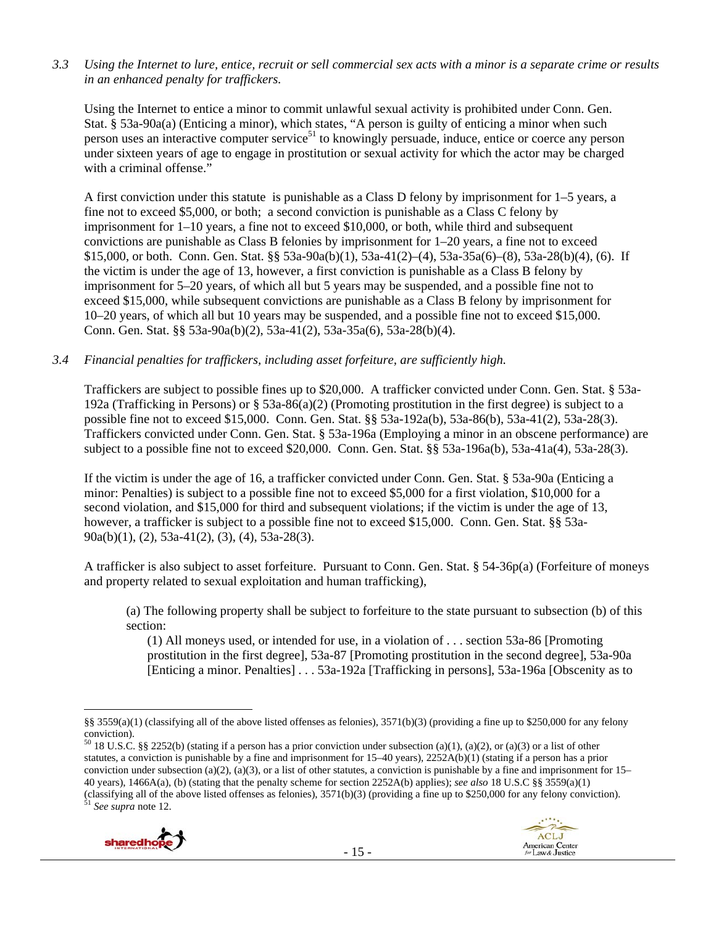*3.3 Using the Internet to lure, entice, recruit or sell commercial sex acts with a minor is a separate crime or results in an enhanced penalty for traffickers.* 

Using the Internet to entice a minor to commit unlawful sexual activity is prohibited under Conn. Gen. Stat. § 53a-90a(a) (Enticing a minor), which states, "A person is guilty of enticing a minor when such person uses an interactive computer service<sup>51</sup> to knowingly persuade, induce, entice or coerce any person under sixteen years of age to engage in prostitution or sexual activity for which the actor may be charged with a criminal offense."

A first conviction under this statute is punishable as a Class D felony by imprisonment for 1–5 years, a fine not to exceed \$5,000, or both; a second conviction is punishable as a Class C felony by imprisonment for 1–10 years, a fine not to exceed \$10,000, or both, while third and subsequent convictions are punishable as Class B felonies by imprisonment for 1–20 years, a fine not to exceed \$15,000, or both. Conn. Gen. Stat. §§ 53a-90a(b)(1), 53a-41(2)–(4), 53a-35a(6)–(8), 53a-28(b)(4), (6). If the victim is under the age of 13, however, a first conviction is punishable as a Class B felony by imprisonment for 5–20 years, of which all but 5 years may be suspended, and a possible fine not to exceed \$15,000, while subsequent convictions are punishable as a Class B felony by imprisonment for 10–20 years, of which all but 10 years may be suspended, and a possible fine not to exceed \$15,000. Conn. Gen. Stat. §§ 53a-90a(b)(2), 53a-41(2), 53a-35a(6), 53a-28(b)(4).

## *3.4 Financial penalties for traffickers, including asset forfeiture, are sufficiently high.*

Traffickers are subject to possible fines up to \$20,000. A trafficker convicted under Conn. Gen. Stat. § 53a-192a (Trafficking in Persons) or § 53a-86(a)(2) (Promoting prostitution in the first degree) is subject to a possible fine not to exceed \$15,000. Conn. Gen. Stat. §§ 53a-192a(b), 53a-86(b), 53a-41(2), 53a-28(3). Traffickers convicted under Conn. Gen. Stat. § 53a-196a (Employing a minor in an obscene performance) are subject to a possible fine not to exceed \$20,000. Conn. Gen. Stat. §§ 53a-196a(b), 53a-41a(4), 53a-28(3).

If the victim is under the age of 16, a trafficker convicted under Conn. Gen. Stat. § 53a-90a (Enticing a minor: Penalties) is subject to a possible fine not to exceed \$5,000 for a first violation, \$10,000 for a second violation, and \$15,000 for third and subsequent violations; if the victim is under the age of 13, however, a trafficker is subject to a possible fine not to exceed \$15,000. Conn. Gen. Stat. §§ 53a-90a(b)(1), (2), 53a-41(2), (3), (4), 53a-28(3).

A trafficker is also subject to asset forfeiture. Pursuant to Conn. Gen. Stat. § 54-36p(a) (Forfeiture of moneys and property related to sexual exploitation and human trafficking),

(a) The following property shall be subject to forfeiture to the state pursuant to subsection (b) of this section:

(1) All moneys used, or intended for use, in a violation of . . . section 53a-86 [Promoting prostitution in the first degree], 53a-87 [Promoting prostitution in the second degree], 53a-90a [Enticing a minor. Penalties] . . . 53a-192a [Trafficking in persons], 53a-196a [Obscenity as to

 $50$  18 U.S.C. §§ 2252(b) (stating if a person has a prior conviction under subsection (a)(1), (a)(2), or (a)(3) or a list of other statutes, a conviction is punishable by a fine and imprisonment for 15–40 years), 2252A(b)(1) (stating if a person has a prior conviction under subsection (a)(2), (a)(3), or a list of other statutes, a conviction is punishable by a fine and imprisonment for  $15-$ 40 years), 1466A(a), (b) (stating that the penalty scheme for section 2252A(b) applies); *see also* 18 U.S.C §§ 3559(a)(1) (classifying all of the above listed offenses as felonies), 3571(b)(3) (providing a fine up to \$250,000 for any felony conviction). 51 *See supra* note 12.





 $\overline{a}$ §§ 3559(a)(1) (classifying all of the above listed offenses as felonies), 3571(b)(3) (providing a fine up to \$250,000 for any felony conviction).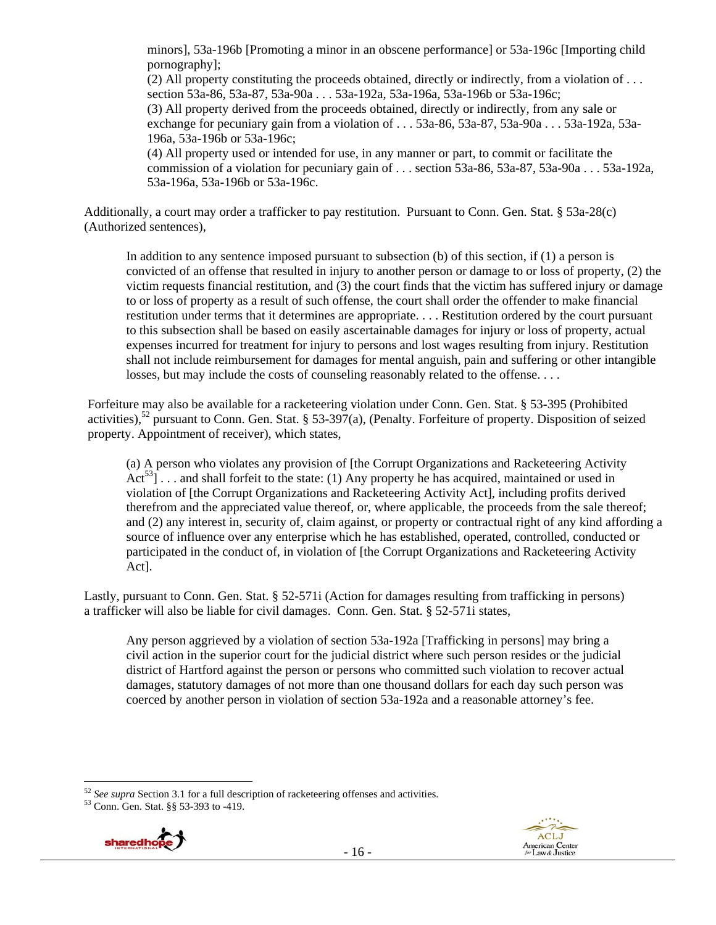minors], 53a-196b [Promoting a minor in an obscene performance] or 53a-196c [Importing child pornography];

(2) All property constituting the proceeds obtained, directly or indirectly, from a violation of  $\dots$ section 53a-86, 53a-87, 53a-90a . . . 53a-192a, 53a-196a, 53a-196b or 53a-196c; (3) All property derived from the proceeds obtained, directly or indirectly, from any sale or exchange for pecuniary gain from a violation of  $\ldots$  53a-86, 53a-87, 53a-90a  $\ldots$ , 53a-192a, 53a-196a, 53a-196b or 53a-196c;

(4) All property used or intended for use, in any manner or part, to commit or facilitate the commission of a violation for pecuniary gain of . . . section 53a-86, 53a-87, 53a-90a . . . 53a-192a, 53a-196a, 53a-196b or 53a-196c.

Additionally, a court may order a trafficker to pay restitution. Pursuant to Conn. Gen. Stat. § 53a-28(c) (Authorized sentences),

In addition to any sentence imposed pursuant to subsection (b) of this section, if (1) a person is convicted of an offense that resulted in injury to another person or damage to or loss of property, (2) the victim requests financial restitution, and (3) the court finds that the victim has suffered injury or damage to or loss of property as a result of such offense, the court shall order the offender to make financial restitution under terms that it determines are appropriate. . . . Restitution ordered by the court pursuant to this subsection shall be based on easily ascertainable damages for injury or loss of property, actual expenses incurred for treatment for injury to persons and lost wages resulting from injury. Restitution shall not include reimbursement for damages for mental anguish, pain and suffering or other intangible losses, but may include the costs of counseling reasonably related to the offense. . . .

Forfeiture may also be available for a racketeering violation under Conn. Gen. Stat. § 53-395 (Prohibited activities),<sup>52</sup> pursuant to Conn. Gen. Stat. § 53-397(a), (Penalty. Forfeiture of property. Disposition of seized property. Appointment of receiver), which states,

(a) A person who violates any provision of [the Corrupt Organizations and Racketeering Activity  $Act^{53}]$ ... and shall forfeit to the state: (1) Any property he has acquired, maintained or used in violation of [the Corrupt Organizations and Racketeering Activity Act], including profits derived therefrom and the appreciated value thereof, or, where applicable, the proceeds from the sale thereof; and (2) any interest in, security of, claim against, or property or contractual right of any kind affording a source of influence over any enterprise which he has established, operated, controlled, conducted or participated in the conduct of, in violation of [the Corrupt Organizations and Racketeering Activity Act].

Lastly, pursuant to Conn. Gen. Stat. § 52-571i (Action for damages resulting from trafficking in persons) a trafficker will also be liable for civil damages. Conn. Gen. Stat. § 52-571i states,

Any person aggrieved by a violation of section 53a-192a [Trafficking in persons] may bring a civil action in the superior court for the judicial district where such person resides or the judicial district of Hartford against the person or persons who committed such violation to recover actual damages, statutory damages of not more than one thousand dollars for each day such person was coerced by another person in violation of section 53a-192a and a reasonable attorney's fee.



 $\overline{a}$ <sup>52</sup> *See supra* Section 3.1 for a full description of racketeering offenses and activities. 53 Conn. Gen. Stat. §§ 53-393 to -419.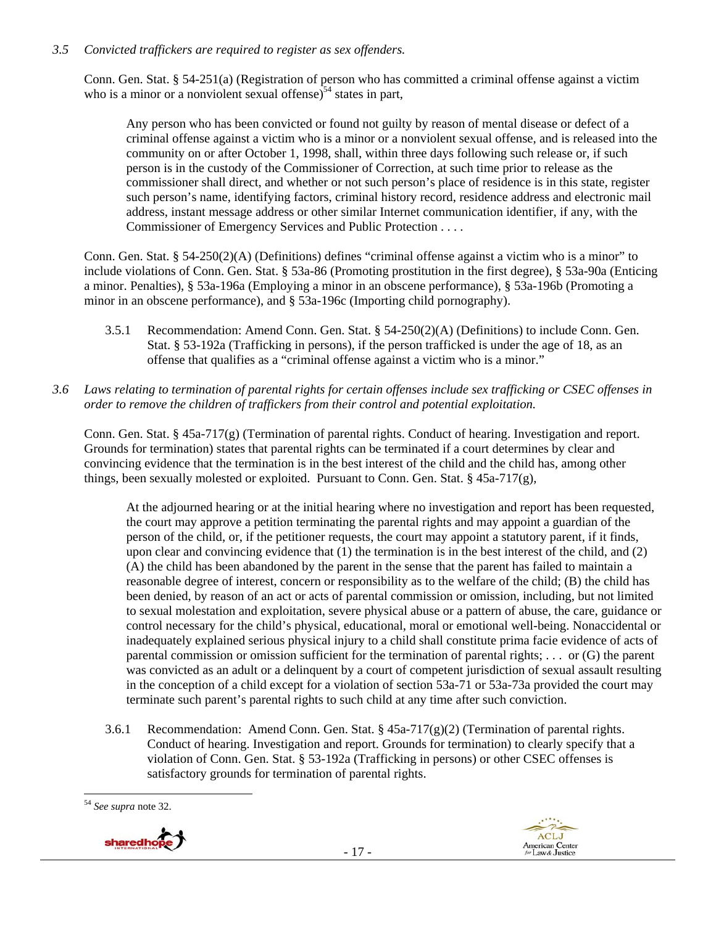#### *3.5 Convicted traffickers are required to register as sex offenders.*

Conn. Gen. Stat. § 54-251(a) (Registration of person who has committed a criminal offense against a victim who is a minor or a nonviolent sexual offense)<sup>54</sup> states in part,

Any person who has been convicted or found not guilty by reason of mental disease or defect of a criminal offense against a victim who is a minor or a nonviolent sexual offense, and is released into the community on or after October 1, 1998, shall, within three days following such release or, if such person is in the custody of the Commissioner of Correction, at such time prior to release as the commissioner shall direct, and whether or not such person's place of residence is in this state, register such person's name, identifying factors, criminal history record, residence address and electronic mail address, instant message address or other similar Internet communication identifier, if any, with the Commissioner of Emergency Services and Public Protection . . . .

Conn. Gen. Stat. § 54-250(2)(A) (Definitions) defines "criminal offense against a victim who is a minor" to include violations of Conn. Gen. Stat. § 53a-86 (Promoting prostitution in the first degree), § 53a-90a (Enticing a minor. Penalties), § 53a-196a (Employing a minor in an obscene performance), § 53a-196b (Promoting a minor in an obscene performance), and § 53a-196c (Importing child pornography).

- 3.5.1 Recommendation: Amend Conn. Gen. Stat. § 54-250(2)(A) (Definitions) to include Conn. Gen. Stat. § 53-192a (Trafficking in persons), if the person trafficked is under the age of 18, as an offense that qualifies as a "criminal offense against a victim who is a minor."
- *3.6 Laws relating to termination of parental rights for certain offenses include sex trafficking or CSEC offenses in order to remove the children of traffickers from their control and potential exploitation.*

Conn. Gen. Stat. § 45a-717(g) (Termination of parental rights. Conduct of hearing. Investigation and report. Grounds for termination) states that parental rights can be terminated if a court determines by clear and convincing evidence that the termination is in the best interest of the child and the child has, among other things, been sexually molested or exploited. Pursuant to Conn. Gen. Stat.  $\S$  45a-717(g),

At the adjourned hearing or at the initial hearing where no investigation and report has been requested, the court may approve a petition terminating the parental rights and may appoint a guardian of the person of the child, or, if the petitioner requests, the court may appoint a statutory parent, if it finds, upon clear and convincing evidence that (1) the termination is in the best interest of the child, and (2) (A) the child has been abandoned by the parent in the sense that the parent has failed to maintain a reasonable degree of interest, concern or responsibility as to the welfare of the child; (B) the child has been denied, by reason of an act or acts of parental commission or omission, including, but not limited to sexual molestation and exploitation, severe physical abuse or a pattern of abuse, the care, guidance or control necessary for the child's physical, educational, moral or emotional well-being. Nonaccidental or inadequately explained serious physical injury to a child shall constitute prima facie evidence of acts of parental commission or omission sufficient for the termination of parental rights; . . . or (G) the parent was convicted as an adult or a delinquent by a court of competent jurisdiction of sexual assault resulting in the conception of a child except for a violation of section 53a-71 or 53a-73a provided the court may terminate such parent's parental rights to such child at any time after such conviction.

3.6.1 Recommendation: Amend Conn. Gen. Stat. §  $45a-717(g)(2)$  (Termination of parental rights. Conduct of hearing. Investigation and report. Grounds for termination) to clearly specify that a violation of Conn. Gen. Stat. § 53-192a (Trafficking in persons) or other CSEC offenses is satisfactory grounds for termination of parental rights.

 $\overline{a}$ <sup>54</sup> *See supra* note 32.



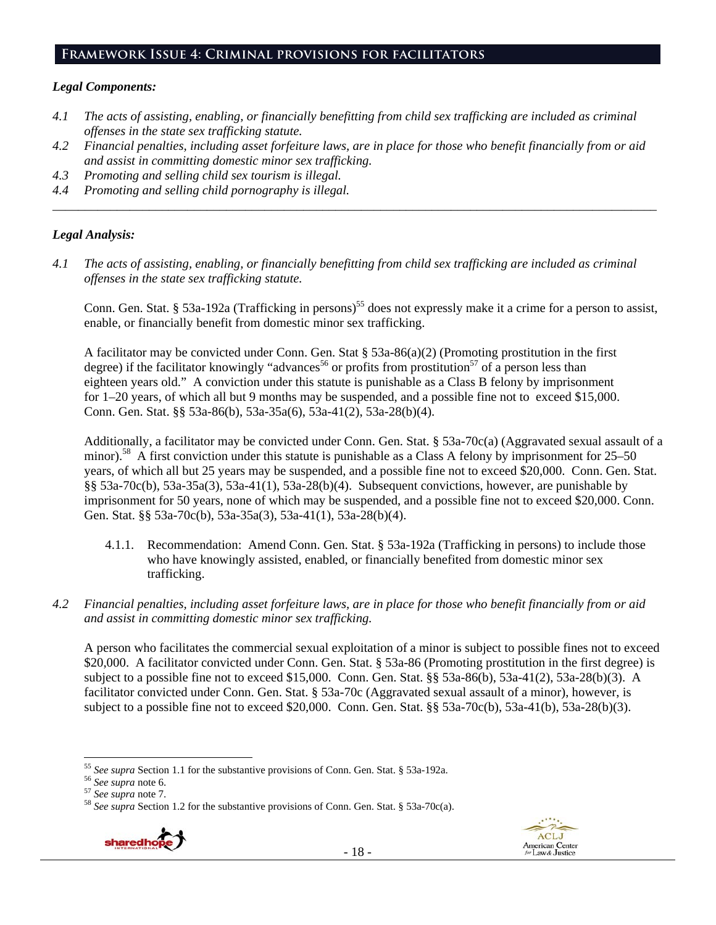#### **Framework Issue 4: Criminal provisions for facilitators**

#### *Legal Components:*

- *4.1 The acts of assisting, enabling, or financially benefitting from child sex trafficking are included as criminal offenses in the state sex trafficking statute.*
- *4.2 Financial penalties, including asset forfeiture laws, are in place for those who benefit financially from or aid and assist in committing domestic minor sex trafficking.*

*\_\_\_\_\_\_\_\_\_\_\_\_\_\_\_\_\_\_\_\_\_\_\_\_\_\_\_\_\_\_\_\_\_\_\_\_\_\_\_\_\_\_\_\_\_\_\_\_\_\_\_\_\_\_\_\_\_\_\_\_\_\_\_\_\_\_\_\_\_\_\_\_\_\_\_\_\_\_\_\_\_\_\_\_\_\_\_\_\_\_\_\_\_\_* 

- *4.3 Promoting and selling child sex tourism is illegal.*
- *4.4 Promoting and selling child pornography is illegal.*

#### *Legal Analysis:*

*4.1 The acts of assisting, enabling, or financially benefitting from child sex trafficking are included as criminal offenses in the state sex trafficking statute.* 

Conn. Gen. Stat. § 53a-192a (Trafficking in persons)<sup>55</sup> does not expressly make it a crime for a person to assist, enable, or financially benefit from domestic minor sex trafficking.

A facilitator may be convicted under Conn. Gen. Stat § 53a-86(a)(2) (Promoting prostitution in the first degree) if the facilitator knowingly "advances<sup>56</sup> or profits from prostitution<sup>57</sup> of a person less than eighteen years old." A conviction under this statute is punishable as a Class B felony by imprisonment for 1–20 years, of which all but 9 months may be suspended, and a possible fine not to exceed \$15,000. Conn. Gen. Stat. §§ 53a-86(b), 53a-35a(6), 53a-41(2), 53a-28(b)(4).

Additionally, a facilitator may be convicted under Conn. Gen. Stat. § 53a-70c(a) (Aggravated sexual assault of a minor).<sup>58</sup> A first conviction under this statute is punishable as a Class A felony by imprisonment for 25–50 years, of which all but 25 years may be suspended, and a possible fine not to exceed \$20,000. Conn. Gen. Stat. §§ 53a-70c(b), 53a-35a(3), 53a-41(1), 53a-28(b)(4). Subsequent convictions, however, are punishable by imprisonment for 50 years, none of which may be suspended, and a possible fine not to exceed \$20,000. Conn. Gen. Stat. §§ 53a-70c(b), 53a-35a(3), 53a-41(1), 53a-28(b)(4).

- 4.1.1. Recommendation: Amend Conn. Gen. Stat. § 53a-192a (Trafficking in persons) to include those who have knowingly assisted, enabled, or financially benefited from domestic minor sex trafficking.
- *4.2 Financial penalties, including asset forfeiture laws, are in place for those who benefit financially from or aid and assist in committing domestic minor sex trafficking.*

A person who facilitates the commercial sexual exploitation of a minor is subject to possible fines not to exceed \$20,000. A facilitator convicted under Conn. Gen. Stat. § 53a-86 (Promoting prostitution in the first degree) is subject to a possible fine not to exceed \$15,000. Conn. Gen. Stat. §§ 53a-86(b), 53a-41(2), 53a-28(b)(3). A facilitator convicted under Conn. Gen. Stat. § 53a-70c (Aggravated sexual assault of a minor), however, is subject to a possible fine not to exceed \$20,000. Conn. Gen. Stat. §§ 53a-70c(b), 53a-41(b), 53a-28(b)(3).

<sup>&</sup>lt;sup>55</sup> See supra Section 1.1 for the substantive provisions of Conn. Gen. Stat. § 53a-192a.<br><sup>56</sup> See supra note 6.<br><sup>57</sup> See supra note 7.<br><sup>58</sup> See supra Section 1.2 for the substantive provisions of Conn. Gen. Stat. § 53a-7





 $\overline{a}$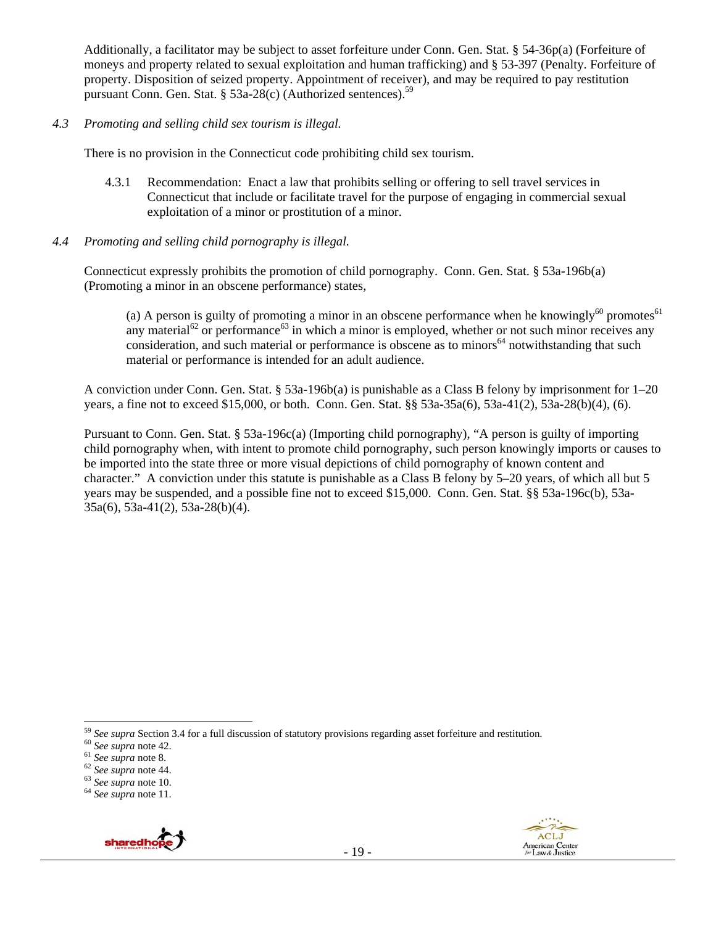Additionally, a facilitator may be subject to asset forfeiture under Conn. Gen. Stat. § 54-36p(a) (Forfeiture of moneys and property related to sexual exploitation and human trafficking) and § 53-397 (Penalty. Forfeiture of property. Disposition of seized property. Appointment of receiver), and may be required to pay restitution pursuant Conn. Gen. Stat. § 53a-28(c) (Authorized sentences).<sup>59</sup>

#### *4.3 Promoting and selling child sex tourism is illegal.*

There is no provision in the Connecticut code prohibiting child sex tourism.

- 4.3.1 Recommendation: Enact a law that prohibits selling or offering to sell travel services in Connecticut that include or facilitate travel for the purpose of engaging in commercial sexual exploitation of a minor or prostitution of a minor.
- *4.4 Promoting and selling child pornography is illegal.*

Connecticut expressly prohibits the promotion of child pornography. Conn. Gen. Stat. § 53a-196b(a) (Promoting a minor in an obscene performance) states,

(a) A person is guilty of promoting a minor in an obscene performance when he knowingly<sup>60</sup> promotes<sup>61</sup> any material<sup>62</sup> or performance<sup>63</sup> in which a minor is employed, whether or not such minor receives any consideration, and such material or performance is obscene as to minors<sup>64</sup> notwithstanding that such material or performance is intended for an adult audience.

A conviction under Conn. Gen. Stat. § 53a-196b(a) is punishable as a Class B felony by imprisonment for 1–20 years, a fine not to exceed \$15,000, or both. Conn. Gen. Stat. §§ 53a-35a(6), 53a-41(2), 53a-28(b)(4), (6).

Pursuant to Conn. Gen. Stat. § 53a-196c(a) (Importing child pornography), "A person is guilty of importing child pornography when, with intent to promote child pornography, such person knowingly imports or causes to be imported into the state three or more visual depictions of child pornography of known content and character." A conviction under this statute is punishable as a Class B felony by 5–20 years, of which all but 5 years may be suspended, and a possible fine not to exceed \$15,000. Conn. Gen. Stat. §§ 53a-196c(b), 53a-35a(6), 53a-41(2), 53a-28(b)(4).





 $\overline{a}$ <sup>59</sup> See supra Section 3.4 for a full discussion of statutory provisions regarding asset forfeiture and restitution.<br><sup>60</sup> See supra note 42.<br><sup>61</sup> See supra note 8.<br><sup>62</sup> See supra note 44.<br><sup>63</sup> See supra note 10.<br><sup>64</sup> See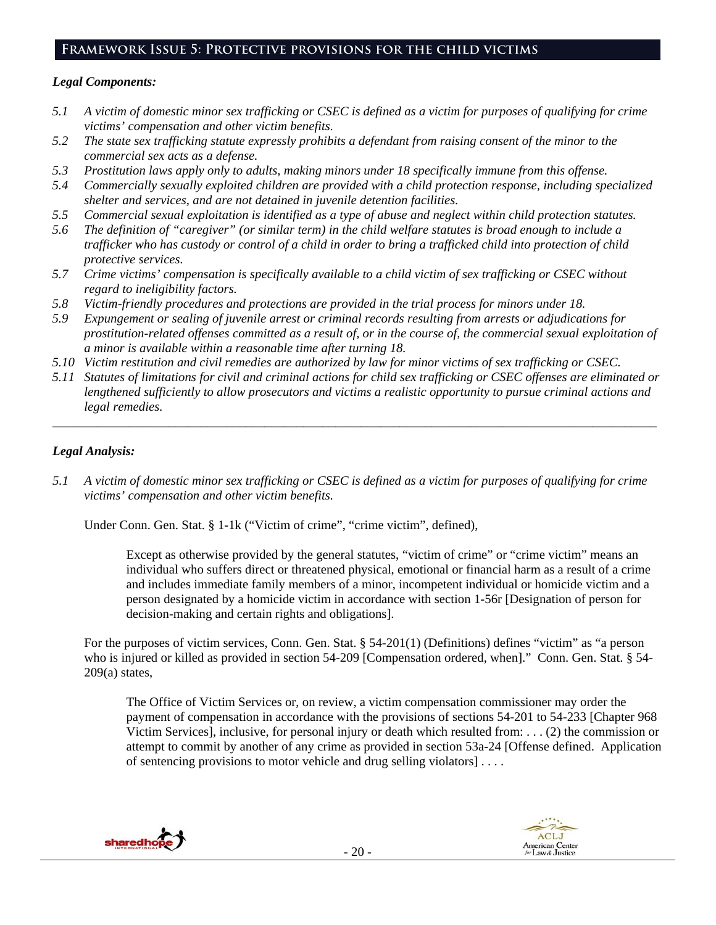# **Framework Issue 5: Protective provisions for the child victims**

#### *Legal Components:*

- *5.1 A victim of domestic minor sex trafficking or CSEC is defined as a victim for purposes of qualifying for crime victims' compensation and other victim benefits.*
- *5.2 The state sex trafficking statute expressly prohibits a defendant from raising consent of the minor to the commercial sex acts as a defense.*
- *5.3 Prostitution laws apply only to adults, making minors under 18 specifically immune from this offense.*
- *5.4 Commercially sexually exploited children are provided with a child protection response, including specialized shelter and services, and are not detained in juvenile detention facilities.*
- *5.5 Commercial sexual exploitation is identified as a type of abuse and neglect within child protection statutes.*
- *5.6 The definition of "caregiver" (or similar term) in the child welfare statutes is broad enough to include a trafficker who has custody or control of a child in order to bring a trafficked child into protection of child protective services.*
- *5.7 Crime victims' compensation is specifically available to a child victim of sex trafficking or CSEC without regard to ineligibility factors.*
- *5.8 Victim-friendly procedures and protections are provided in the trial process for minors under 18.*
- *5.9 Expungement or sealing of juvenile arrest or criminal records resulting from arrests or adjudications for prostitution-related offenses committed as a result of, or in the course of, the commercial sexual exploitation of a minor is available within a reasonable time after turning 18.*
- *5.10 Victim restitution and civil remedies are authorized by law for minor victims of sex trafficking or CSEC.*
- *5.11 Statutes of limitations for civil and criminal actions for child sex trafficking or CSEC offenses are eliminated or lengthened sufficiently to allow prosecutors and victims a realistic opportunity to pursue criminal actions and legal remedies.*

*\_\_\_\_\_\_\_\_\_\_\_\_\_\_\_\_\_\_\_\_\_\_\_\_\_\_\_\_\_\_\_\_\_\_\_\_\_\_\_\_\_\_\_\_\_\_\_\_\_\_\_\_\_\_\_\_\_\_\_\_\_\_\_\_\_\_\_\_\_\_\_\_\_\_\_\_\_\_\_\_\_\_\_\_\_\_\_\_\_\_\_\_\_\_* 

## *Legal Analysis:*

*5.1 A victim of domestic minor sex trafficking or CSEC is defined as a victim for purposes of qualifying for crime victims' compensation and other victim benefits.* 

Under Conn. Gen. Stat. § 1-1k ("Victim of crime", "crime victim", defined),

Except as otherwise provided by the general statutes, "victim of crime" or "crime victim" means an individual who suffers direct or threatened physical, emotional or financial harm as a result of a crime and includes immediate family members of a minor, incompetent individual or homicide victim and a person designated by a homicide victim in accordance with section 1-56r [Designation of person for decision-making and certain rights and obligations].

For the purposes of victim services, Conn. Gen. Stat. § 54-201(1) (Definitions) defines "victim" as "a person who is injured or killed as provided in section 54-209 [Compensation ordered, when]." Conn. Gen. Stat. § 54- $209(a)$  states,

The Office of Victim Services or, on review, a victim compensation commissioner may order the payment of compensation in accordance with the provisions of sections 54-201 to 54-233 [Chapter 968 Victim Services], inclusive, for personal injury or death which resulted from: . . . (2) the commission or attempt to commit by another of any crime as provided in section 53a-24 [Offense defined. Application of sentencing provisions to motor vehicle and drug selling violators] . . . .



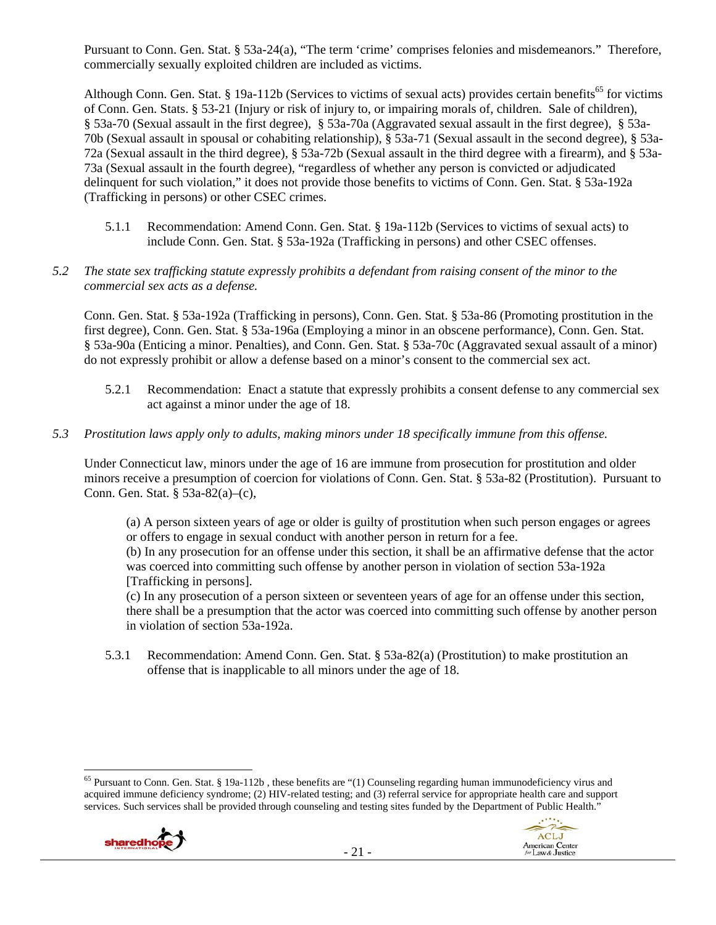Pursuant to Conn. Gen. Stat. § 53a-24(a), "The term 'crime' comprises felonies and misdemeanors." Therefore, commercially sexually exploited children are included as victims.

Although Conn. Gen. Stat. § 19a-112b (Services to victims of sexual acts) provides certain benefits<sup>65</sup> for victims of Conn. Gen. Stats. § 53-21 (Injury or risk of injury to, or impairing morals of, children. Sale of children), § 53a-70 (Sexual assault in the first degree), § 53a-70a (Aggravated sexual assault in the first degree), § 53a-70b (Sexual assault in spousal or cohabiting relationship), § 53a-71 (Sexual assault in the second degree), § 53a-72a (Sexual assault in the third degree), § 53a-72b (Sexual assault in the third degree with a firearm), and § 53a-73a (Sexual assault in the fourth degree), "regardless of whether any person is convicted or adjudicated delinquent for such violation," it does not provide those benefits to victims of Conn. Gen. Stat. § 53a-192a (Trafficking in persons) or other CSEC crimes.

- 5.1.1 Recommendation: Amend Conn. Gen. Stat. § 19a-112b (Services to victims of sexual acts) to include Conn. Gen. Stat. § 53a-192a (Trafficking in persons) and other CSEC offenses.
- *5.2 The state sex trafficking statute expressly prohibits a defendant from raising consent of the minor to the commercial sex acts as a defense.*

Conn. Gen. Stat. § 53a-192a (Trafficking in persons), Conn. Gen. Stat. § 53a-86 (Promoting prostitution in the first degree), Conn. Gen. Stat. § 53a-196a (Employing a minor in an obscene performance), Conn. Gen. Stat. § 53a-90a (Enticing a minor. Penalties), and Conn. Gen. Stat. § 53a-70c (Aggravated sexual assault of a minor) do not expressly prohibit or allow a defense based on a minor's consent to the commercial sex act.

- 5.2.1 Recommendation: Enact a statute that expressly prohibits a consent defense to any commercial sex act against a minor under the age of 18.
- *5.3 Prostitution laws apply only to adults, making minors under 18 specifically immune from this offense.*

Under Connecticut law, minors under the age of 16 are immune from prosecution for prostitution and older minors receive a presumption of coercion for violations of Conn. Gen. Stat. § 53a-82 (Prostitution). Pursuant to Conn. Gen. Stat. § 53a-82(a)–(c),

(a) A person sixteen years of age or older is guilty of prostitution when such person engages or agrees or offers to engage in sexual conduct with another person in return for a fee.

(b) In any prosecution for an offense under this section, it shall be an affirmative defense that the actor was coerced into committing such offense by another person in violation of section 53a-192a [Trafficking in persons].

(c) In any prosecution of a person sixteen or seventeen years of age for an offense under this section, there shall be a presumption that the actor was coerced into committing such offense by another person in violation of section 53a-192a.

5.3.1 Recommendation: Amend Conn. Gen. Stat. § 53a-82(a) (Prostitution) to make prostitution an offense that is inapplicable to all minors under the age of 18.

 $<sup>65</sup>$  Pursuant to Conn. Gen. Stat. § 19a-112b, these benefits are "(1) Counseling regarding human immunodeficiency virus and</sup> acquired immune deficiency syndrome; (2) HIV-related testing; and (3) referral service for appropriate health care and support services. Such services shall be provided through counseling and testing sites funded by the Department of Public Health."



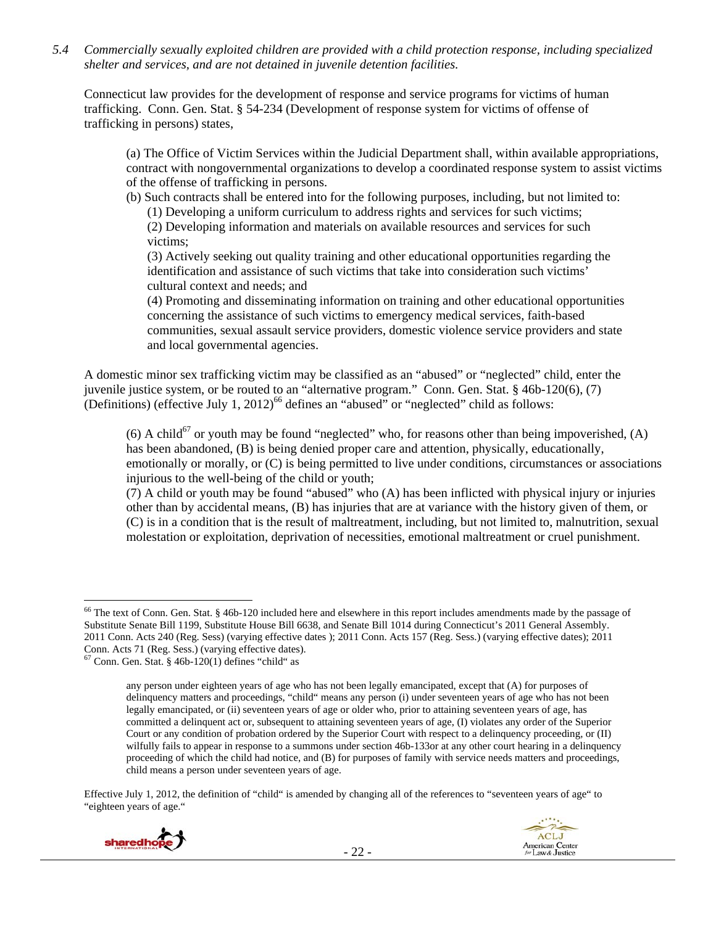*5.4 Commercially sexually exploited children are provided with a child protection response, including specialized shelter and services, and are not detained in juvenile detention facilities.* 

Connecticut law provides for the development of response and service programs for victims of human trafficking. Conn. Gen. Stat. § 54-234 (Development of response system for victims of offense of trafficking in persons) states,

(a) The Office of Victim Services within the Judicial Department shall, within available appropriations, contract with nongovernmental organizations to develop a coordinated response system to assist victims of the offense of trafficking in persons.

(b) Such contracts shall be entered into for the following purposes, including, but not limited to:

(1) Developing a uniform curriculum to address rights and services for such victims;

(2) Developing information and materials on available resources and services for such victims;

(3) Actively seeking out quality training and other educational opportunities regarding the identification and assistance of such victims that take into consideration such victims' cultural context and needs; and

(4) Promoting and disseminating information on training and other educational opportunities concerning the assistance of such victims to emergency medical services, faith-based communities, sexual assault service providers, domestic violence service providers and state and local governmental agencies.

A domestic minor sex trafficking victim may be classified as an "abused" or "neglected" child, enter the juvenile justice system, or be routed to an "alternative program." Conn. Gen. Stat. § 46b-120(6), (7) (Definitions) (effective July 1, 2012)<sup>66</sup> defines an "abused" or "neglected" child as follows:

(6) A child<sup>67</sup> or youth may be found "neglected" who, for reasons other than being impoverished, (A) has been abandoned, (B) is being denied proper care and attention, physically, educationally, emotionally or morally, or (C) is being permitted to live under conditions, circumstances or associations injurious to the well-being of the child or youth;

(7) A child or youth may be found "abused" who (A) has been inflicted with physical injury or injuries other than by accidental means, (B) has injuries that are at variance with the history given of them, or (C) is in a condition that is the result of maltreatment, including, but not limited to, malnutrition, sexual molestation or exploitation, deprivation of necessities, emotional maltreatment or cruel punishment.

Effective July 1, 2012, the definition of "child" is amended by changing all of the references to "seventeen years of age" to "eighteen years of age."





<sup>&</sup>lt;sup>66</sup> The text of Conn. Gen. Stat. § 46b-120 included here and elsewhere in this report includes amendments made by the passage of Substitute Senate Bill 1199, Substitute House Bill 6638, and Senate Bill 1014 during Connecticut's 2011 General Assembly. 2011 Conn. Acts 240 (Reg. Sess) (varying effective dates ); 2011 Conn. Acts 157 (Reg. Sess.) (varying effective dates); 2011 Conn. Acts 71 (Reg. Sess.) (varying effective dates).

 $67$  Conn. Gen. Stat. § 46b-120(1) defines "child" as

any person under eighteen years of age who has not been legally emancipated, except that (A) for purposes of delinquency matters and proceedings, "child" means any person (i) under seventeen years of age who has not been legally emancipated, or (ii) seventeen years of age or older who, prior to attaining seventeen years of age, has committed a delinquent act or, subsequent to attaining seventeen years of age, (I) violates any order of the Superior Court or any condition of probation ordered by the Superior Court with respect to a delinquency proceeding, or (II) wilfully fails to appear in response to a summons under section 46b-133or at any other court hearing in a delinquency proceeding of which the child had notice, and (B) for purposes of family with service needs matters and proceedings, child means a person under seventeen years of age.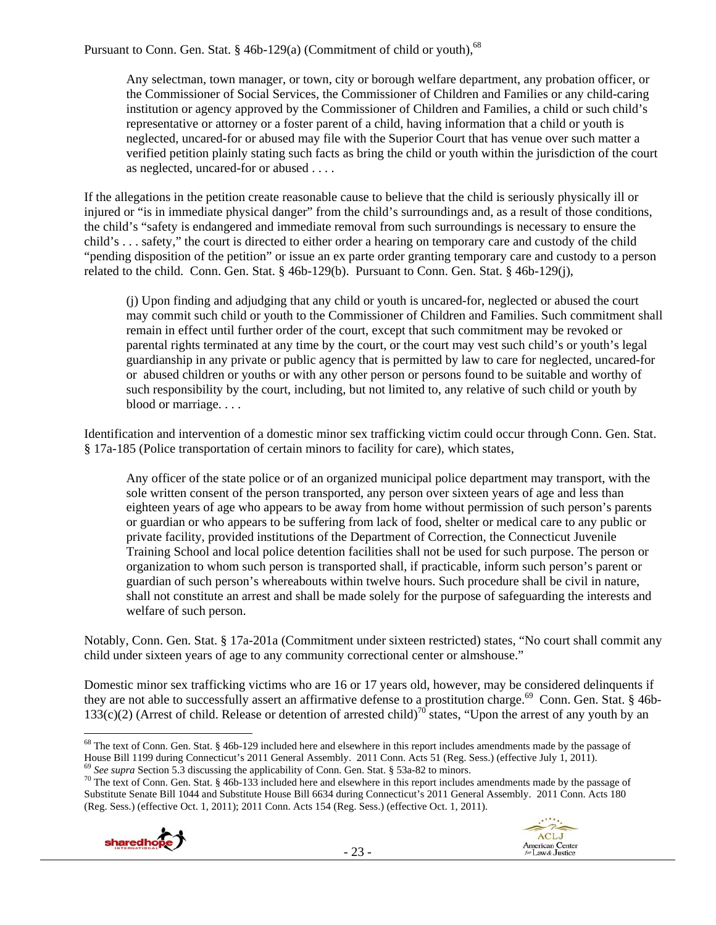Pursuant to Conn. Gen. Stat. § 46b-129(a) (Commitment of child or youth), $^{68}$ 

Any selectman, town manager, or town, city or borough welfare department, any probation officer, or the Commissioner of Social Services, the Commissioner of Children and Families or any child-caring institution or agency approved by the Commissioner of Children and Families, a child or such child's representative or attorney or a foster parent of a child, having information that a child or youth is neglected, uncared-for or abused may file with the Superior Court that has venue over such matter a verified petition plainly stating such facts as bring the child or youth within the jurisdiction of the court as neglected, uncared-for or abused . . . .

If the allegations in the petition create reasonable cause to believe that the child is seriously physically ill or injured or "is in immediate physical danger" from the child's surroundings and, as a result of those conditions, the child's "safety is endangered and immediate removal from such surroundings is necessary to ensure the child's . . . safety," the court is directed to either order a hearing on temporary care and custody of the child "pending disposition of the petition" or issue an ex parte order granting temporary care and custody to a person related to the child. Conn. Gen. Stat. § 46b-129(b). Pursuant to Conn. Gen. Stat. § 46b-129(j),

(j) Upon finding and adjudging that any child or youth is uncared-for, neglected or abused the court may commit such child or youth to the Commissioner of Children and Families. Such commitment shall remain in effect until further order of the court, except that such commitment may be revoked or parental rights terminated at any time by the court, or the court may vest such child's or youth's legal guardianship in any private or public agency that is permitted by law to care for neglected, uncared-for or abused children or youths or with any other person or persons found to be suitable and worthy of such responsibility by the court, including, but not limited to, any relative of such child or youth by blood or marriage. . . .

Identification and intervention of a domestic minor sex trafficking victim could occur through Conn. Gen. Stat. § 17a-185 (Police transportation of certain minors to facility for care), which states,

Any officer of the state police or of an organized municipal police department may transport, with the sole written consent of the person transported, any person over sixteen years of age and less than eighteen years of age who appears to be away from home without permission of such person's parents or guardian or who appears to be suffering from lack of food, shelter or medical care to any public or private facility, provided institutions of the Department of Correction, the Connecticut Juvenile Training School and local police detention facilities shall not be used for such purpose. The person or organization to whom such person is transported shall, if practicable, inform such person's parent or guardian of such person's whereabouts within twelve hours. Such procedure shall be civil in nature, shall not constitute an arrest and shall be made solely for the purpose of safeguarding the interests and welfare of such person.

Notably, Conn. Gen. Stat. § 17a-201a (Commitment under sixteen restricted) states, "No court shall commit any child under sixteen years of age to any community correctional center or almshouse."

Domestic minor sex trafficking victims who are 16 or 17 years old, however, may be considered delinquents if they are not able to successfully assert an affirmative defense to a prostitution charge.<sup>69</sup> Conn. Gen. Stat. § 46b- $133(c)(2)$  (Arrest of child. Release or detention of arrested child)<sup>70</sup> states, "Upon the arrest of any youth by an

Substitute Senate Bill 1044 and Substitute House Bill 6634 during Connecticut's 2011 General Assembly. 2011 Conn. Acts 180 (Reg. Sess.) (effective Oct. 1, 2011); 2011 Conn. Acts 154 (Reg. Sess.) (effective Oct. 1, 2011).





 $68$  The text of Conn. Gen. Stat. § 46b-129 included here and elsewhere in this report includes amendments made by the passage of House Bill 1199 during Connecticut's 2011 General Assembly. 2011 Conn. Acts 51 (Reg. Sess.) (effective July 1, 2011).<br><sup>69</sup> See supra Section 5.3 discussing the applicability of Conn. Gen. Stat. § 53a-82 to minors.<br><sup>70</sup> Th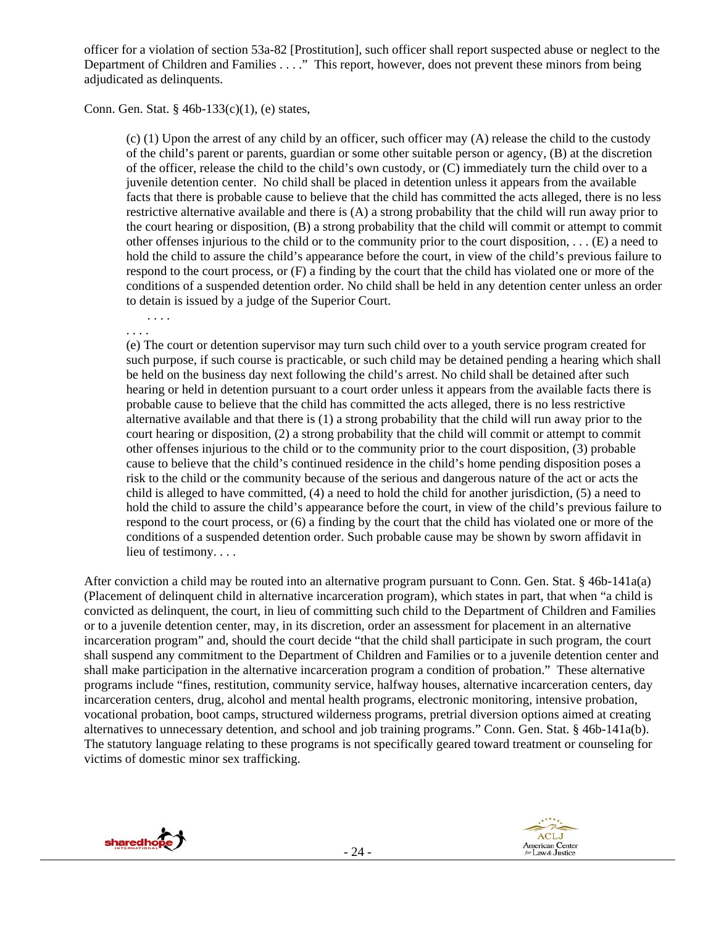officer for a violation of section 53a-82 [Prostitution], such officer shall report suspected abuse or neglect to the Department of Children and Families . . . ." This report, however, does not prevent these minors from being adjudicated as delinquents.

#### Conn. Gen. Stat. § 46b-133(c)(1), (e) states,

(c) (1) Upon the arrest of any child by an officer, such officer may (A) release the child to the custody of the child's parent or parents, guardian or some other suitable person or agency, (B) at the discretion of the officer, release the child to the child's own custody, or (C) immediately turn the child over to a juvenile detention center. No child shall be placed in detention unless it appears from the available facts that there is probable cause to believe that the child has committed the acts alleged, there is no less restrictive alternative available and there is (A) a strong probability that the child will run away prior to the court hearing or disposition, (B) a strong probability that the child will commit or attempt to commit other offenses injurious to the child or to the community prior to the court disposition, . . . (E) a need to hold the child to assure the child's appearance before the court, in view of the child's previous failure to respond to the court process, or (F) a finding by the court that the child has violated one or more of the conditions of a suspended detention order. No child shall be held in any detention center unless an order to detain is issued by a judge of the Superior Court.

. . . . . . . .

(e) The court or detention supervisor may turn such child over to a youth service program created for such purpose, if such course is practicable, or such child may be detained pending a hearing which shall be held on the business day next following the child's arrest. No child shall be detained after such hearing or held in detention pursuant to a court order unless it appears from the available facts there is probable cause to believe that the child has committed the acts alleged, there is no less restrictive alternative available and that there is (1) a strong probability that the child will run away prior to the court hearing or disposition, (2) a strong probability that the child will commit or attempt to commit other offenses injurious to the child or to the community prior to the court disposition, (3) probable cause to believe that the child's continued residence in the child's home pending disposition poses a risk to the child or the community because of the serious and dangerous nature of the act or acts the child is alleged to have committed, (4) a need to hold the child for another jurisdiction, (5) a need to hold the child to assure the child's appearance before the court, in view of the child's previous failure to respond to the court process, or (6) a finding by the court that the child has violated one or more of the conditions of a suspended detention order. Such probable cause may be shown by sworn affidavit in lieu of testimony. . . .

After conviction a child may be routed into an alternative program pursuant to Conn. Gen. Stat. § 46b-141a(a) (Placement of delinquent child in alternative incarceration program), which states in part, that when "a child is convicted as delinquent, the court, in lieu of committing such child to the Department of Children and Families or to a juvenile detention center, may, in its discretion, order an assessment for placement in an alternative incarceration program" and, should the court decide "that the child shall participate in such program, the court shall suspend any commitment to the Department of Children and Families or to a juvenile detention center and shall make participation in the alternative incarceration program a condition of probation." These alternative programs include "fines, restitution, community service, halfway houses, alternative incarceration centers, day incarceration centers, drug, alcohol and mental health programs, electronic monitoring, intensive probation, vocational probation, boot camps, structured wilderness programs, pretrial diversion options aimed at creating alternatives to unnecessary detention, and school and job training programs." Conn. Gen. Stat. § 46b-141a(b). The statutory language relating to these programs is not specifically geared toward treatment or counseling for victims of domestic minor sex trafficking.

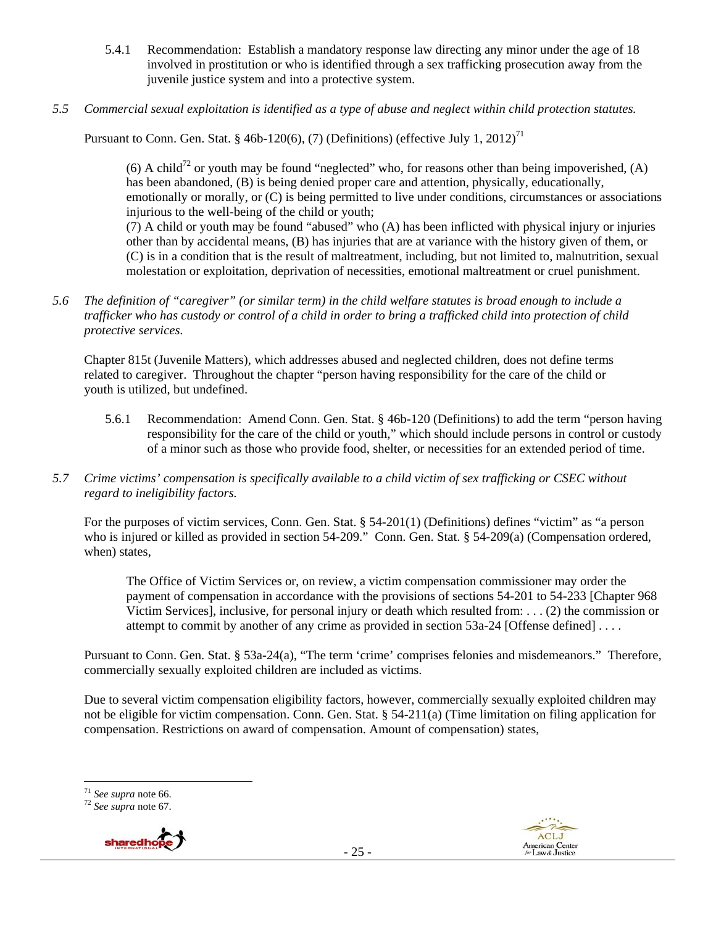- 5.4.1 Recommendation: Establish a mandatory response law directing any minor under the age of 18 involved in prostitution or who is identified through a sex trafficking prosecution away from the juvenile justice system and into a protective system.
- *5.5 Commercial sexual exploitation is identified as a type of abuse and neglect within child protection statutes.*

Pursuant to Conn. Gen. Stat. § 46b-120(6), (7) (Definitions) (effective July 1, 2012)<sup>71</sup>

(6) A child<sup>72</sup> or youth may be found "neglected" who, for reasons other than being impoverished, (A) has been abandoned, (B) is being denied proper care and attention, physically, educationally, emotionally or morally, or (C) is being permitted to live under conditions, circumstances or associations injurious to the well-being of the child or youth; (7) A child or youth may be found "abused" who (A) has been inflicted with physical injury or injuries

other than by accidental means, (B) has injuries that are at variance with the history given of them, or (C) is in a condition that is the result of maltreatment, including, but not limited to, malnutrition, sexual molestation or exploitation, deprivation of necessities, emotional maltreatment or cruel punishment.

*5.6 The definition of "caregiver" (or similar term) in the child welfare statutes is broad enough to include a trafficker who has custody or control of a child in order to bring a trafficked child into protection of child protective services.* 

Chapter 815t (Juvenile Matters), which addresses abused and neglected children, does not define terms related to caregiver. Throughout the chapter "person having responsibility for the care of the child or youth is utilized, but undefined.

- 5.6.1 Recommendation: Amend Conn. Gen. Stat. § 46b-120 (Definitions) to add the term "person having responsibility for the care of the child or youth," which should include persons in control or custody of a minor such as those who provide food, shelter, or necessities for an extended period of time.
- *5.7 Crime victims' compensation is specifically available to a child victim of sex trafficking or CSEC without regard to ineligibility factors.*

For the purposes of victim services, Conn. Gen. Stat. § 54-201(1) (Definitions) defines "victim" as "a person who is injured or killed as provided in section 54-209." Conn. Gen. Stat. § 54-209(a) (Compensation ordered, when) states,

The Office of Victim Services or, on review, a victim compensation commissioner may order the payment of compensation in accordance with the provisions of sections 54-201 to 54-233 [Chapter 968 Victim Services], inclusive, for personal injury or death which resulted from: . . . (2) the commission or attempt to commit by another of any crime as provided in section 53a-24 [Offense defined] . . . .

Pursuant to Conn. Gen. Stat. § 53a-24(a), "The term 'crime' comprises felonies and misdemeanors." Therefore, commercially sexually exploited children are included as victims.

Due to several victim compensation eligibility factors, however, commercially sexually exploited children may not be eligible for victim compensation. Conn. Gen. Stat. § 54-211(a) (Time limitation on filing application for compensation. Restrictions on award of compensation. Amount of compensation) states,

 $71$  See supra note 66.

<sup>71</sup> *See supra* note 66. 72 *See supra* note 67.

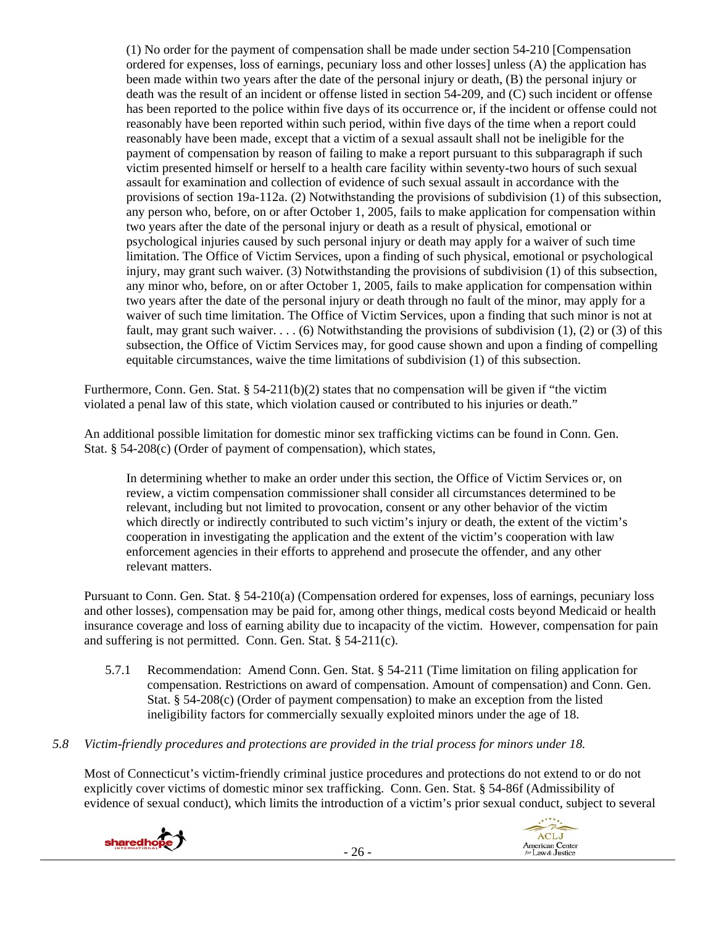(1) No order for the payment of compensation shall be made under section 54-210 [Compensation ordered for expenses, loss of earnings, pecuniary loss and other losses] unless (A) the application has been made within two years after the date of the personal injury or death, (B) the personal injury or death was the result of an incident or offense listed in section 54-209, and (C) such incident or offense has been reported to the police within five days of its occurrence or, if the incident or offense could not reasonably have been reported within such period, within five days of the time when a report could reasonably have been made, except that a victim of a sexual assault shall not be ineligible for the payment of compensation by reason of failing to make a report pursuant to this subparagraph if such victim presented himself or herself to a health care facility within seventy-two hours of such sexual assault for examination and collection of evidence of such sexual assault in accordance with the provisions of section 19a-112a. (2) Notwithstanding the provisions of subdivision (1) of this subsection, any person who, before, on or after October 1, 2005, fails to make application for compensation within two years after the date of the personal injury or death as a result of physical, emotional or psychological injuries caused by such personal injury or death may apply for a waiver of such time limitation. The Office of Victim Services, upon a finding of such physical, emotional or psychological injury, may grant such waiver. (3) Notwithstanding the provisions of subdivision (1) of this subsection, any minor who, before, on or after October 1, 2005, fails to make application for compensation within two years after the date of the personal injury or death through no fault of the minor, may apply for a waiver of such time limitation. The Office of Victim Services, upon a finding that such minor is not at fault, may grant such waiver. . . . (6) Notwithstanding the provisions of subdivision (1), (2) or (3) of this subsection, the Office of Victim Services may, for good cause shown and upon a finding of compelling equitable circumstances, waive the time limitations of subdivision (1) of this subsection.

Furthermore, Conn. Gen. Stat.  $\S 54-211(b)(2)$  states that no compensation will be given if "the victim" violated a penal law of this state, which violation caused or contributed to his injuries or death."

An additional possible limitation for domestic minor sex trafficking victims can be found in Conn. Gen. Stat. § 54-208(c) (Order of payment of compensation), which states,

In determining whether to make an order under this section, the Office of Victim Services or, on review, a victim compensation commissioner shall consider all circumstances determined to be relevant, including but not limited to provocation, consent or any other behavior of the victim which directly or indirectly contributed to such victim's injury or death, the extent of the victim's cooperation in investigating the application and the extent of the victim's cooperation with law enforcement agencies in their efforts to apprehend and prosecute the offender, and any other relevant matters.

Pursuant to Conn. Gen. Stat. § 54-210(a) (Compensation ordered for expenses, loss of earnings, pecuniary loss and other losses), compensation may be paid for, among other things, medical costs beyond Medicaid or health insurance coverage and loss of earning ability due to incapacity of the victim. However, compensation for pain and suffering is not permitted. Conn. Gen. Stat. § 54-211(c).

- 5.7.1 Recommendation: Amend Conn. Gen. Stat. § 54-211 (Time limitation on filing application for compensation. Restrictions on award of compensation. Amount of compensation) and Conn. Gen. Stat. § 54-208(c) (Order of payment compensation) to make an exception from the listed ineligibility factors for commercially sexually exploited minors under the age of 18.
- *5.8 Victim-friendly procedures and protections are provided in the trial process for minors under 18.*

Most of Connecticut's victim-friendly criminal justice procedures and protections do not extend to or do not explicitly cover victims of domestic minor sex trafficking. Conn. Gen. Stat. § 54-86f (Admissibility of evidence of sexual conduct), which limits the introduction of a victim's prior sexual conduct, subject to several



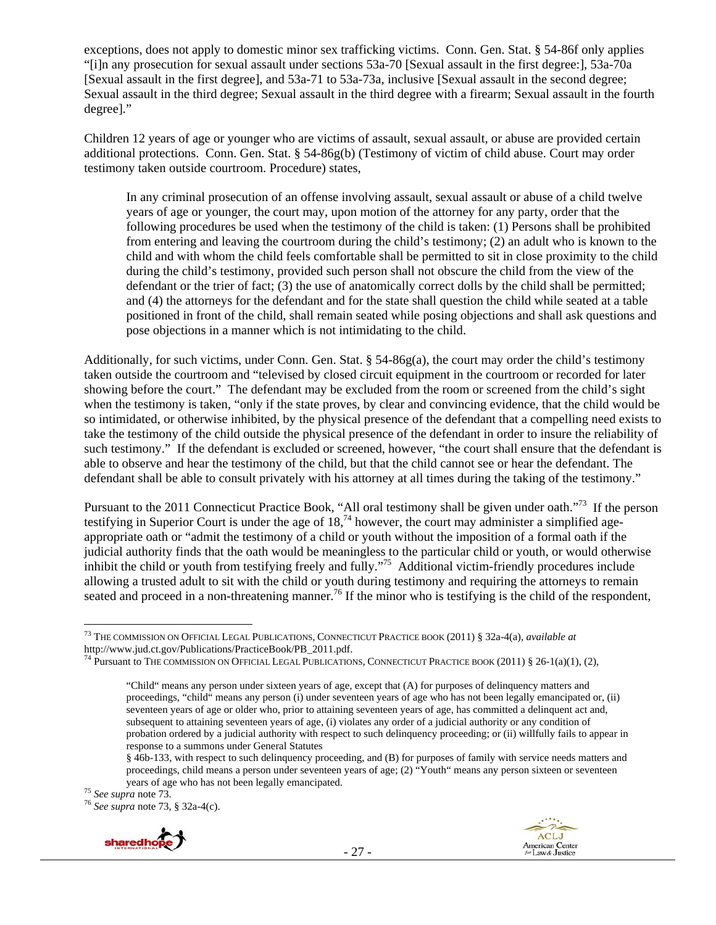exceptions, does not apply to domestic minor sex trafficking victims. Conn. Gen. Stat. § 54-86f only applies "[i]n any prosecution for sexual assault under sections 53a-70 [Sexual assault in the first degree:], 53a-70a [Sexual assault in the first degree], and 53a-71 to 53a-73a, inclusive [Sexual assault in the second degree; Sexual assault in the third degree; Sexual assault in the third degree with a firearm; Sexual assault in the fourth degree]."

Children 12 years of age or younger who are victims of assault, sexual assault, or abuse are provided certain additional protections. Conn. Gen. Stat. § 54-86g(b) (Testimony of victim of child abuse. Court may order testimony taken outside courtroom. Procedure) states,

In any criminal prosecution of an offense involving assault, sexual assault or abuse of a child twelve years of age or younger, the court may, upon motion of the attorney for any party, order that the following procedures be used when the testimony of the child is taken: (1) Persons shall be prohibited from entering and leaving the courtroom during the child's testimony; (2) an adult who is known to the child and with whom the child feels comfortable shall be permitted to sit in close proximity to the child during the child's testimony, provided such person shall not obscure the child from the view of the defendant or the trier of fact; (3) the use of anatomically correct dolls by the child shall be permitted; and (4) the attorneys for the defendant and for the state shall question the child while seated at a table positioned in front of the child, shall remain seated while posing objections and shall ask questions and pose objections in a manner which is not intimidating to the child.

Additionally, for such victims, under Conn. Gen. Stat. § 54-86g(a), the court may order the child's testimony taken outside the courtroom and "televised by closed circuit equipment in the courtroom or recorded for later showing before the court." The defendant may be excluded from the room or screened from the child's sight when the testimony is taken, "only if the state proves, by clear and convincing evidence, that the child would be so intimidated, or otherwise inhibited, by the physical presence of the defendant that a compelling need exists to take the testimony of the child outside the physical presence of the defendant in order to insure the reliability of such testimony." If the defendant is excluded or screened, however, "the court shall ensure that the defendant is able to observe and hear the testimony of the child, but that the child cannot see or hear the defendant. The defendant shall be able to consult privately with his attorney at all times during the taking of the testimony."

Pursuant to the 2011 Connecticut Practice Book, "All oral testimony shall be given under oath."<sup>73</sup> If the person testifying in Superior Court is under the age of  $18<sup>74</sup>$  however, the court may administer a simplified ageappropriate oath or "admit the testimony of a child or youth without the imposition of a formal oath if the judicial authority finds that the oath would be meaningless to the particular child or youth, or would otherwise inhibit the child or youth from testifying freely and fully."<sup>75</sup> Additional victim-friendly procedures include allowing a trusted adult to sit with the child or youth during testimony and requiring the attorneys to remain seated and proceed in a non-threatening manner.<sup>76</sup> If the minor who is testifying is the child of the respondent,





 $\overline{a}$ 73 THE COMMISSION ON OFFICIAL LEGAL PUBLICATIONS, CONNECTICUT PRACTICE BOOK (2011) § 32a-4(a), *available at*  http://www.jud.ct.gov/Publications/PracticeBook/PB\_2011.pdf.<br><sup>74</sup> Pursuant to THE COMMISSION ON OFFICIAL LEGAL PUBLICATIONS, CONNECTICUT PRACTICE BOOK (2011) § 26-1(a)(1), (2),

<sup>&</sup>quot;Child" means any person under sixteen years of age, except that (A) for purposes of delinquency matters and proceedings, "child" means any person (i) under seventeen years of age who has not been legally emancipated or, (ii) seventeen years of age or older who, prior to attaining seventeen years of age, has committed a delinquent act and, subsequent to attaining seventeen years of age, (i) violates any order of a judicial authority or any condition of probation ordered by a judicial authority with respect to such delinquency proceeding; or (ii) willfully fails to appear in response to a summons under General Statutes

<sup>§ 46</sup>b-133, with respect to such delinquency proceeding, and (B) for purposes of family with service needs matters and proceedings, child means a person under seventeen years of age; (2) "Youth" means any person sixteen or seventeen years of age who has not been legally emancipated.<br><sup>75</sup> *See supra* note 73.<br><sup>76</sup> *See supra* note 73, § 32a-4(c).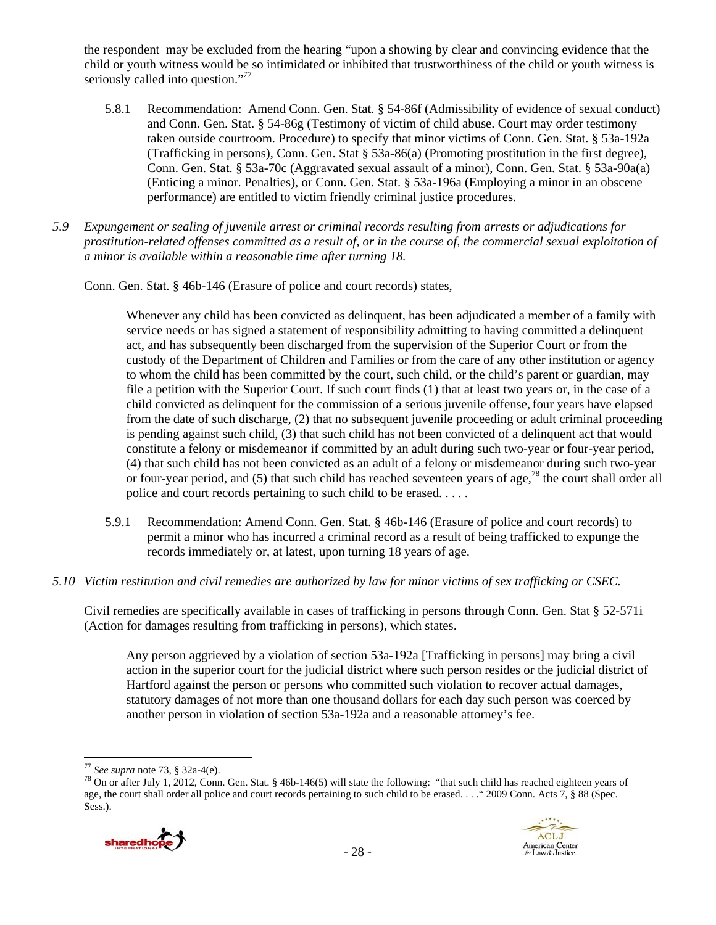the respondent may be excluded from the hearing "upon a showing by clear and convincing evidence that the child or youth witness would be so intimidated or inhibited that trustworthiness of the child or youth witness is seriously called into question."<sup>77</sup>

- 5.8.1 Recommendation: Amend Conn. Gen. Stat. § 54-86f (Admissibility of evidence of sexual conduct) and Conn. Gen. Stat. § 54-86g (Testimony of victim of child abuse. Court may order testimony taken outside courtroom. Procedure) to specify that minor victims of Conn. Gen. Stat. § 53a-192a (Trafficking in persons), Conn. Gen. Stat § 53a-86(a) (Promoting prostitution in the first degree), Conn. Gen. Stat. § 53a-70c (Aggravated sexual assault of a minor), Conn. Gen. Stat. § 53a-90a(a) (Enticing a minor. Penalties), or Conn. Gen. Stat. § 53a-196a (Employing a minor in an obscene performance) are entitled to victim friendly criminal justice procedures.
- *5.9 Expungement or sealing of juvenile arrest or criminal records resulting from arrests or adjudications for prostitution-related offenses committed as a result of, or in the course of, the commercial sexual exploitation of a minor is available within a reasonable time after turning 18.*

Conn. Gen. Stat. § 46b-146 (Erasure of police and court records) states,

Whenever any child has been convicted as delinquent, has been adjudicated a member of a family with service needs or has signed a statement of responsibility admitting to having committed a delinquent act, and has subsequently been discharged from the supervision of the Superior Court or from the custody of the Department of Children and Families or from the care of any other institution or agency to whom the child has been committed by the court, such child, or the child's parent or guardian, may file a petition with the Superior Court. If such court finds (1) that at least two years or, in the case of a child convicted as delinquent for the commission of a serious juvenile offense,four years have elapsed from the date of such discharge, (2) that no subsequent juvenile proceeding or adult criminal proceeding is pending against such child, (3) that such child has not been convicted of a delinquent act that would constitute a felony or misdemeanor if committed by an adult during such two-year or four-year period, (4) that such child has not been convicted as an adult of a felony or misdemeanor during such two-year or four-year period, and (5) that such child has reached seventeen years of age,<sup>78</sup> the court shall order all police and court records pertaining to such child to be erased. . . . .

- 5.9.1 Recommendation: Amend Conn. Gen. Stat. § 46b-146 (Erasure of police and court records) to permit a minor who has incurred a criminal record as a result of being trafficked to expunge the records immediately or, at latest, upon turning 18 years of age.
- *5.10 Victim restitution and civil remedies are authorized by law for minor victims of sex trafficking or CSEC.*

Civil remedies are specifically available in cases of trafficking in persons through Conn. Gen. Stat § 52-571i (Action for damages resulting from trafficking in persons), which states.

Any person aggrieved by a violation of section 53a-192a [Trafficking in persons] may bring a civil action in the superior court for the judicial district where such person resides or the judicial district of Hartford against the person or persons who committed such violation to recover actual damages, statutory damages of not more than one thousand dollars for each day such person was coerced by another person in violation of section 53a-192a and a reasonable attorney's fee.

<sup>&</sup>lt;sup>78</sup> On or after July 1, 2012, Conn. Gen. Stat. § 46b-146(5) will state the following: "that such child has reached eighteen years of age, the court shall order all police and court records pertaining to such child to be erased. . . ." 2009 Conn. Acts 7, § 88 (Spec. Sess.).





<sup>&</sup>lt;sup>77</sup> See supra note 73, § 32a-4(e).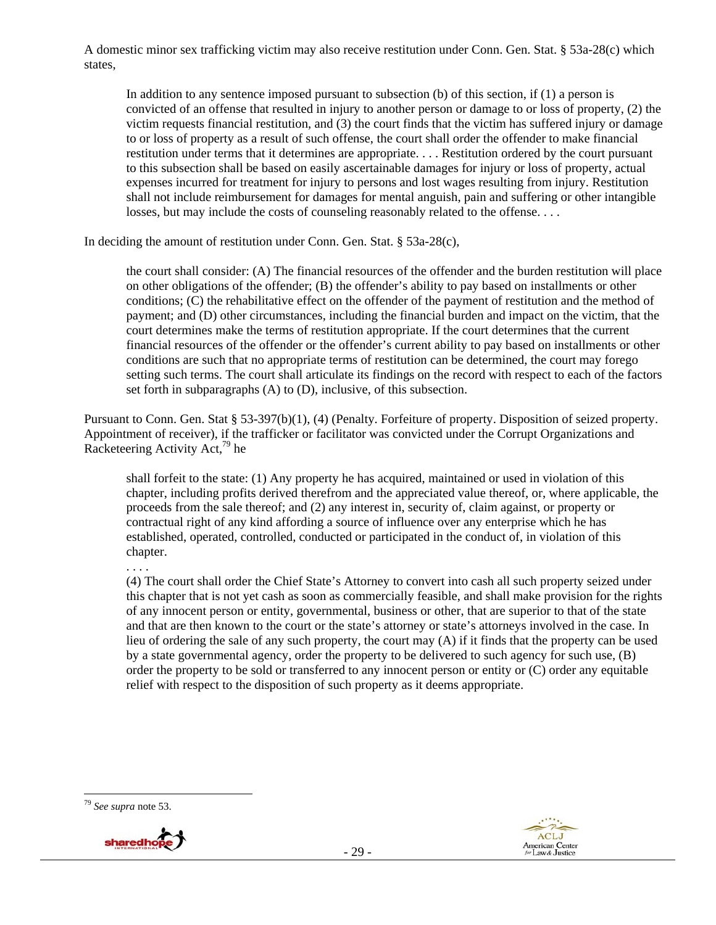A domestic minor sex trafficking victim may also receive restitution under Conn. Gen. Stat. § 53a-28(c) which states,

In addition to any sentence imposed pursuant to subsection (b) of this section, if (1) a person is convicted of an offense that resulted in injury to another person or damage to or loss of property, (2) the victim requests financial restitution, and (3) the court finds that the victim has suffered injury or damage to or loss of property as a result of such offense, the court shall order the offender to make financial restitution under terms that it determines are appropriate. . . . Restitution ordered by the court pursuant to this subsection shall be based on easily ascertainable damages for injury or loss of property, actual expenses incurred for treatment for injury to persons and lost wages resulting from injury. Restitution shall not include reimbursement for damages for mental anguish, pain and suffering or other intangible losses, but may include the costs of counseling reasonably related to the offense. . . .

In deciding the amount of restitution under Conn. Gen. Stat. § 53a-28(c),

the court shall consider: (A) The financial resources of the offender and the burden restitution will place on other obligations of the offender; (B) the offender's ability to pay based on installments or other conditions; (C) the rehabilitative effect on the offender of the payment of restitution and the method of payment; and (D) other circumstances, including the financial burden and impact on the victim, that the court determines make the terms of restitution appropriate. If the court determines that the current financial resources of the offender or the offender's current ability to pay based on installments or other conditions are such that no appropriate terms of restitution can be determined, the court may forego setting such terms. The court shall articulate its findings on the record with respect to each of the factors set forth in subparagraphs (A) to (D), inclusive, of this subsection.

Pursuant to Conn. Gen. Stat § 53-397(b)(1), (4) (Penalty. Forfeiture of property. Disposition of seized property. Appointment of receiver), if the trafficker or facilitator was convicted under the Corrupt Organizations and Racketeering Activity Act,<sup>79</sup> he

shall forfeit to the state: (1) Any property he has acquired, maintained or used in violation of this chapter, including profits derived therefrom and the appreciated value thereof, or, where applicable, the proceeds from the sale thereof; and (2) any interest in, security of, claim against, or property or contractual right of any kind affording a source of influence over any enterprise which he has established, operated, controlled, conducted or participated in the conduct of, in violation of this chapter.

. . . .

(4) The court shall order the Chief State's Attorney to convert into cash all such property seized under this chapter that is not yet cash as soon as commercially feasible, and shall make provision for the rights of any innocent person or entity, governmental, business or other, that are superior to that of the state and that are then known to the court or the state's attorney or state's attorneys involved in the case. In lieu of ordering the sale of any such property, the court may (A) if it finds that the property can be used by a state governmental agency, order the property to be delivered to such agency for such use, (B) order the property to be sold or transferred to any innocent person or entity or (C) order any equitable relief with respect to the disposition of such property as it deems appropriate.





<sup>79</sup> *See supra* note 53.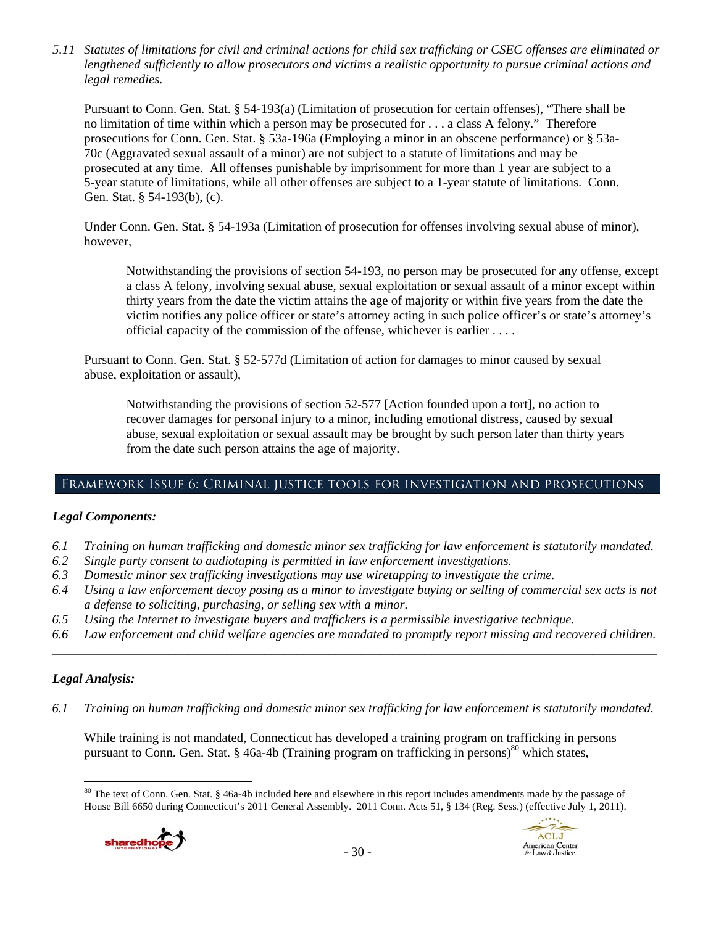*5.11 Statutes of limitations for civil and criminal actions for child sex trafficking or CSEC offenses are eliminated or lengthened sufficiently to allow prosecutors and victims a realistic opportunity to pursue criminal actions and legal remedies.* 

Pursuant to Conn. Gen. Stat. § 54-193(a) (Limitation of prosecution for certain offenses), "There shall be no limitation of time within which a person may be prosecuted for . . . a class A felony." Therefore prosecutions for Conn. Gen. Stat. § 53a-196a (Employing a minor in an obscene performance) or § 53a-70c (Aggravated sexual assault of a minor) are not subject to a statute of limitations and may be prosecuted at any time. All offenses punishable by imprisonment for more than 1 year are subject to a 5-year statute of limitations, while all other offenses are subject to a 1-year statute of limitations. Conn. Gen. Stat. § 54-193(b), (c).

Under Conn. Gen. Stat. § 54-193a (Limitation of prosecution for offenses involving sexual abuse of minor), however,

Notwithstanding the provisions of section 54-193, no person may be prosecuted for any offense, except a class A felony, involving sexual abuse, sexual exploitation or sexual assault of a minor except within thirty years from the date the victim attains the age of majority or within five years from the date the victim notifies any police officer or state's attorney acting in such police officer's or state's attorney's official capacity of the commission of the offense, whichever is earlier . . . .

Pursuant to Conn. Gen. Stat. § 52-577d (Limitation of action for damages to minor caused by sexual abuse, exploitation or assault),

Notwithstanding the provisions of section 52-577 [Action founded upon a tort], no action to recover damages for personal injury to a minor, including emotional distress, caused by sexual abuse, sexual exploitation or sexual assault may be brought by such person later than thirty years from the date such person attains the age of majority.

# Framework Issue 6: Criminal justice tools for investigation and prosecutions

## *Legal Components:*

- *6.1 Training on human trafficking and domestic minor sex trafficking for law enforcement is statutorily mandated.*
- *6.2 Single party consent to audiotaping is permitted in law enforcement investigations.*
- *6.3 Domestic minor sex trafficking investigations may use wiretapping to investigate the crime.*
- *6.4 Using a law enforcement decoy posing as a minor to investigate buying or selling of commercial sex acts is not a defense to soliciting, purchasing, or selling sex with a minor.*
- *6.5 Using the Internet to investigate buyers and traffickers is a permissible investigative technique.*
- *6.6 Law enforcement and child welfare agencies are mandated to promptly report missing and recovered children. \_\_\_\_\_\_\_\_\_\_\_\_\_\_\_\_\_\_\_\_\_\_\_\_\_\_\_\_\_\_\_\_\_\_\_\_\_\_\_\_\_\_\_\_\_\_\_\_\_\_\_\_\_\_\_\_\_\_\_\_\_\_\_\_\_\_\_\_\_\_\_\_\_\_\_\_\_\_\_\_\_\_\_\_\_\_\_\_\_\_\_\_\_\_*

## *Legal Analysis:*

 $\overline{a}$ 

*6.1 Training on human trafficking and domestic minor sex trafficking for law enforcement is statutorily mandated.* 

While training is not mandated, Connecticut has developed a training program on trafficking in persons pursuant to Conn. Gen. Stat. § 46a-4b (Training program on trafficking in persons)<sup>80</sup> which states,

<sup>80</sup> The text of Conn. Gen. Stat. § 46a-4b included here and elsewhere in this report includes amendments made by the passage of House Bill 6650 during Connecticut's 2011 General Assembly. 2011 Conn. Acts 51, § 134 (Reg. Sess.) (effective July 1, 2011).



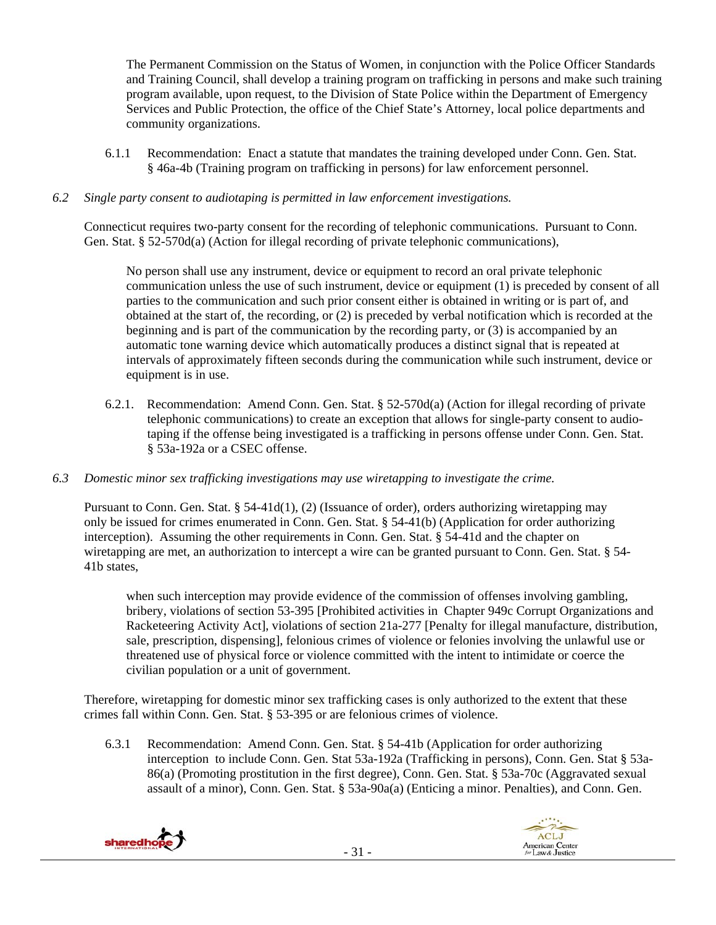The Permanent Commission on the Status of Women, in conjunction with the Police Officer Standards and Training Council, shall develop a training program on trafficking in persons and make such training program available, upon request, to the Division of State Police within the Department of Emergency Services and Public Protection, the office of the Chief State's Attorney, local police departments and community organizations.

6.1.1 Recommendation: Enact a statute that mandates the training developed under Conn. Gen. Stat. § 46a-4b (Training program on trafficking in persons) for law enforcement personnel.

#### *6.2 Single party consent to audiotaping is permitted in law enforcement investigations.*

Connecticut requires two-party consent for the recording of telephonic communications. Pursuant to Conn. Gen. Stat. § 52-570d(a) (Action for illegal recording of private telephonic communications),

No person shall use any instrument, device or equipment to record an oral private telephonic communication unless the use of such instrument, device or equipment (1) is preceded by consent of all parties to the communication and such prior consent either is obtained in writing or is part of, and obtained at the start of, the recording, or (2) is preceded by verbal notification which is recorded at the beginning and is part of the communication by the recording party, or (3) is accompanied by an automatic tone warning device which automatically produces a distinct signal that is repeated at intervals of approximately fifteen seconds during the communication while such instrument, device or equipment is in use.

- 6.2.1. Recommendation: Amend Conn. Gen. Stat. § 52-570d(a) (Action for illegal recording of private telephonic communications) to create an exception that allows for single-party consent to audiotaping if the offense being investigated is a trafficking in persons offense under Conn. Gen. Stat. § 53a-192a or a CSEC offense.
- *6.3 Domestic minor sex trafficking investigations may use wiretapping to investigate the crime.*

Pursuant to Conn. Gen. Stat. § 54-41d(1), (2) (Issuance of order), orders authorizing wiretapping may only be issued for crimes enumerated in Conn. Gen. Stat. § 54-41(b) (Application for order authorizing interception). Assuming the other requirements in Conn. Gen. Stat. § 54-41d and the chapter on wiretapping are met, an authorization to intercept a wire can be granted pursuant to Conn. Gen. Stat. § 54- 41b states,

when such interception may provide evidence of the commission of offenses involving gambling, bribery, violations of section 53-395 [Prohibited activities in Chapter 949c Corrupt Organizations and Racketeering Activity Act], violations of section 21a-277 [Penalty for illegal manufacture, distribution, sale, prescription, dispensing], felonious crimes of violence or felonies involving the unlawful use or threatened use of physical force or violence committed with the intent to intimidate or coerce the civilian population or a unit of government.

Therefore, wiretapping for domestic minor sex trafficking cases is only authorized to the extent that these crimes fall within Conn. Gen. Stat. § 53-395 or are felonious crimes of violence.

6.3.1 Recommendation: Amend Conn. Gen. Stat. § 54-41b (Application for order authorizing interception to include Conn. Gen. Stat 53a-192a (Trafficking in persons), Conn. Gen. Stat § 53a-86(a) (Promoting prostitution in the first degree), Conn. Gen. Stat. § 53a-70c (Aggravated sexual assault of a minor), Conn. Gen. Stat. § 53a-90a(a) (Enticing a minor. Penalties), and Conn. Gen.



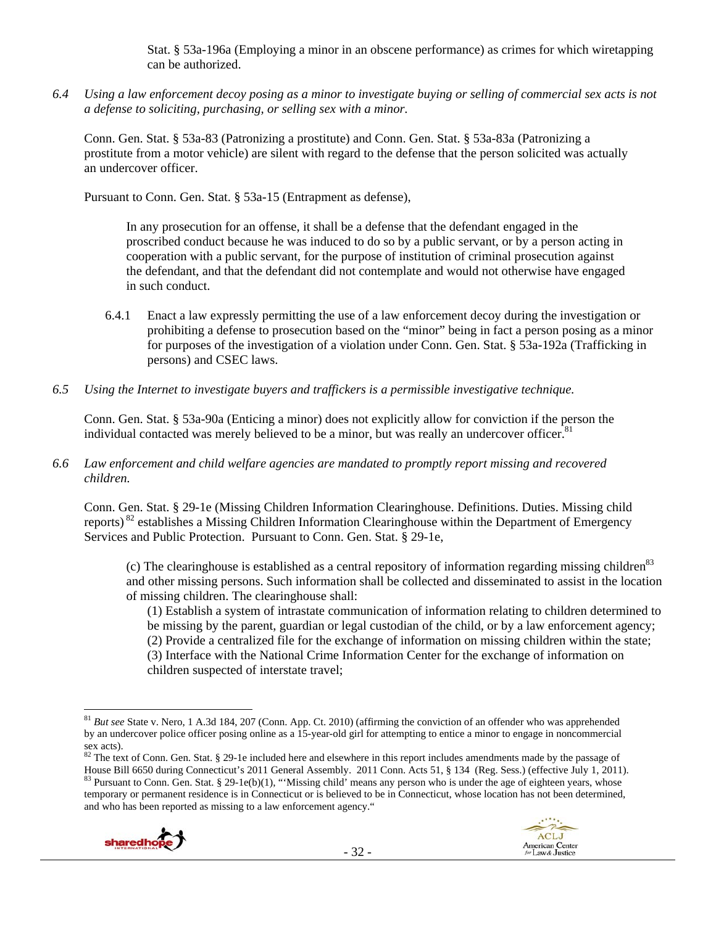Stat. § 53a-196a (Employing a minor in an obscene performance) as crimes for which wiretapping can be authorized.

*6.4 Using a law enforcement decoy posing as a minor to investigate buying or selling of commercial sex acts is not a defense to soliciting, purchasing, or selling sex with a minor.* 

Conn. Gen. Stat. § 53a-83 (Patronizing a prostitute) and Conn. Gen. Stat. § 53a-83a (Patronizing a prostitute from a motor vehicle) are silent with regard to the defense that the person solicited was actually an undercover officer.

Pursuant to Conn. Gen. Stat. § 53a-15 (Entrapment as defense),

In any prosecution for an offense, it shall be a defense that the defendant engaged in the proscribed conduct because he was induced to do so by a public servant, or by a person acting in cooperation with a public servant, for the purpose of institution of criminal prosecution against the defendant, and that the defendant did not contemplate and would not otherwise have engaged in such conduct.

- 6.4.1 Enact a law expressly permitting the use of a law enforcement decoy during the investigation or prohibiting a defense to prosecution based on the "minor" being in fact a person posing as a minor for purposes of the investigation of a violation under Conn. Gen. Stat. § 53a-192a (Trafficking in persons) and CSEC laws.
- *6.5 Using the Internet to investigate buyers and traffickers is a permissible investigative technique.*

Conn. Gen. Stat. § 53a-90a (Enticing a minor) does not explicitly allow for conviction if the person the individual contacted was merely believed to be a minor, but was really an undercover officer.<sup>81</sup>

*6.6 Law enforcement and child welfare agencies are mandated to promptly report missing and recovered children.* 

Conn. Gen. Stat. § 29-1e (Missing Children Information Clearinghouse. Definitions. Duties. Missing child reports) 82 establishes a Missing Children Information Clearinghouse within the Department of Emergency Services and Public Protection. Pursuant to Conn. Gen. Stat. § 29-1e,

(c) The clearinghouse is established as a central repository of information regarding missing children<sup>83</sup> and other missing persons. Such information shall be collected and disseminated to assist in the location of missing children. The clearinghouse shall:

(1) Establish a system of intrastate communication of information relating to children determined to be missing by the parent, guardian or legal custodian of the child, or by a law enforcement agency; (2) Provide a centralized file for the exchange of information on missing children within the state; (3) Interface with the National Crime Information Center for the exchange of information on children suspected of interstate travel;

<sup>&</sup>lt;sup>82</sup> The text of Conn. Gen. Stat. § 29-1e included here and elsewhere in this report includes amendments made by the passage of House Bill 6650 during Connecticut's 2011 General Assembly. 2011 Conn. Acts 51, § 134 (Reg. S  $83$  Pursuant to Conn. Gen. Stat. § 29-1e(b)(1), "Missing child' means any person who is under the age of eighteen years, whose temporary or permanent residence is in Connecticut or is believed to be in Connecticut, whose location has not been determined, and who has been reported as missing to a law enforcement agency."





 $\overline{a}$ <sup>81</sup> *But see* State v. Nero, 1 A.3d 184, 207 (Conn. App. Ct. 2010) (affirming the conviction of an offender who was apprehended by an undercover police officer posing online as a 15-year-old girl for attempting to entice a minor to engage in noncommercial sex acts).